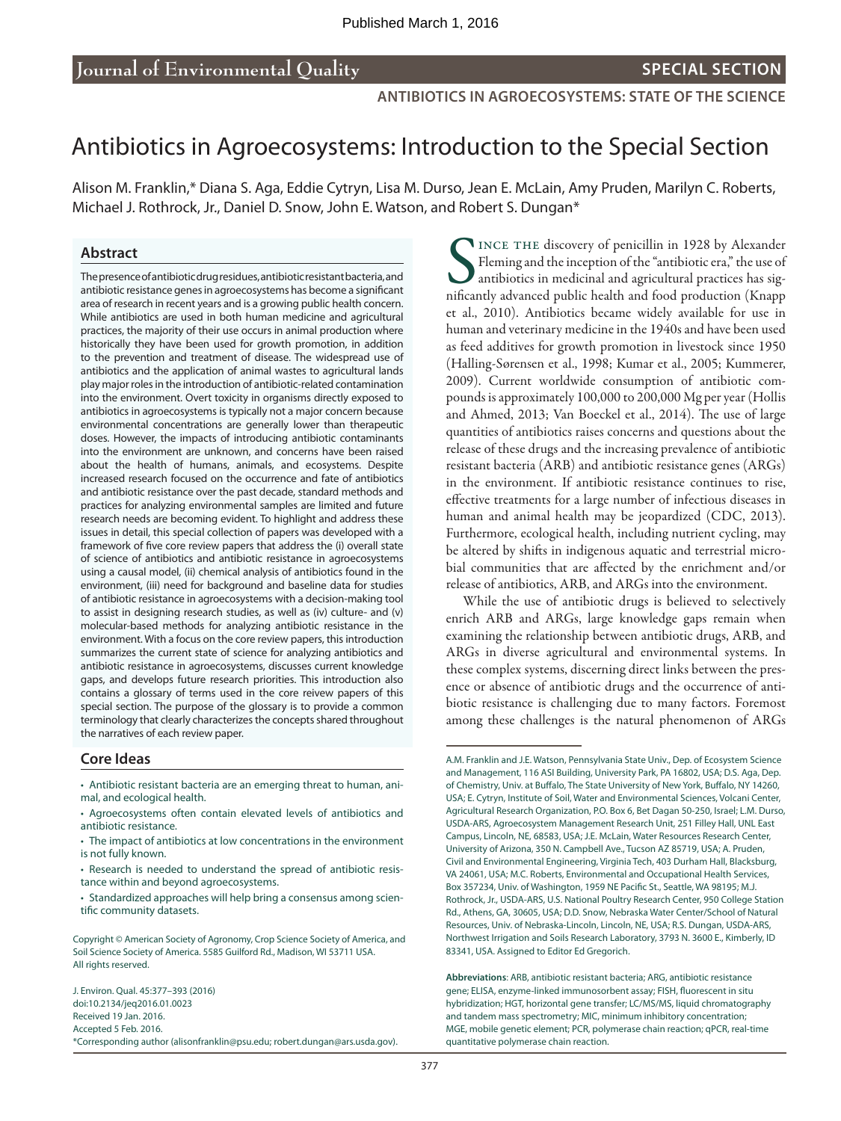**Antibiotics in Agroecosystems: State of the Science**

### Antibiotics in Agroecosystems: Introduction to the Special Section

Alison M. Franklin,\* Diana S. Aga, Eddie Cytryn, Lisa M. Durso, Jean E. McLain, Amy Pruden, Marilyn C. Roberts, Michael J. Rothrock, Jr., Daniel D. Snow, John E. Watson, and Robert S. Dungan\*

#### **Abstract**

The presence of antibiotic drug residues, antibiotic resistant bacteria, and antibiotic resistance genes in agroecosystems has become a significant area of research in recent years and is a growing public health concern. While antibiotics are used in both human medicine and agricultural practices, the majority of their use occurs in animal production where historically they have been used for growth promotion, in addition to the prevention and treatment of disease. The widespread use of antibiotics and the application of animal wastes to agricultural lands play major roles in the introduction of antibiotic-related contamination into the environment. Overt toxicity in organisms directly exposed to antibiotics in agroecosystems is typically not a major concern because environmental concentrations are generally lower than therapeutic doses. However, the impacts of introducing antibiotic contaminants into the environment are unknown, and concerns have been raised about the health of humans, animals, and ecosystems. Despite increased research focused on the occurrence and fate of antibiotics and antibiotic resistance over the past decade, standard methods and practices for analyzing environmental samples are limited and future research needs are becoming evident. To highlight and address these issues in detail, this special collection of papers was developed with a framework of five core review papers that address the (i) overall state of science of antibiotics and antibiotic resistance in agroecosystems using a causal model, (ii) chemical analysis of antibiotics found in the environment, (iii) need for background and baseline data for studies of antibiotic resistance in agroecosystems with a decision-making tool to assist in designing research studies, as well as (iv) culture- and (v) molecular-based methods for analyzing antibiotic resistance in the environment. With a focus on the core review papers, this introduction summarizes the current state of science for analyzing antibiotics and antibiotic resistance in agroecosystems, discusses current knowledge gaps, and develops future research priorities. This introduction also contains a glossary of terms used in the core reivew papers of this special section. The purpose of the glossary is to provide a common terminology that clearly characterizes the concepts shared throughout the narratives of each review paper.

#### **Core Ideas**

• Antibiotic resistant bacteria are an emerging threat to human, animal, and ecological health.

• Agroecosystems often contain elevated levels of antibiotics and antibiotic resistance.

• The impact of antibiotics at low concentrations in the environment is not fully known.

• Research is needed to understand the spread of antibiotic resistance within and beyond agroecosystems.

• Standardized approaches will help bring a consensus among scientific community datasets.

Copyright © American Society of Agronomy, Crop Science Society of America, and Soil Science Society of America. 5585 Guilford Rd., Madison, WI 53711 USA. All rights reserved.

J. Environ. Qual. 45:377–393 (2016) doi:10.2134/jeq2016.01.0023 Received 19 Jan. 2016. Accepted 5 Feb. 2016. \*Corresponding author ([alisonfranklin@psu.edu](mailto:alisonfranklin@psu.edu); [robert.dungan@ars.usda.gov](mailto:robert.dungan@ars.usda.gov)). INCE THE discovery of penicillin in 1928 by Alexander<br>Fleming and the inception of the "antibiotic era," the use of<br>antibiotics in medicinal and agricultural practices has significantly advanced public health and food prod INCE THE discovery of penicillin in 1928 by Alexander Fleming and the inception of the "antibiotic era," the use of antibiotics in medicinal and agricultural practices has siget al., 2010). Antibiotics became widely available for use in human and veterinary medicine in the 1940s and have been used as feed additives for growth promotion in livestock since 1950 (Halling-Sørensen et al., 1998; Kumar et al., 2005; Kummerer, 2009). Current worldwide consumption of antibiotic compounds is approximately 100,000 to 200,000 Mg per year (Hollis and Ahmed, 2013; Van Boeckel et al., 2014). The use of large quantities of antibiotics raises concerns and questions about the release of these drugs and the increasing prevalence of antibiotic resistant bacteria (ARB) and antibiotic resistance genes (ARGs) in the environment. If antibiotic resistance continues to rise, effective treatments for a large number of infectious diseases in human and animal health may be jeopardized (CDC, 2013). Furthermore, ecological health, including nutrient cycling, may be altered by shifts in indigenous aquatic and terrestrial microbial communities that are affected by the enrichment and/or release of antibiotics, ARB, and ARGs into the environment.

While the use of antibiotic drugs is believed to selectively enrich ARB and ARGs, large knowledge gaps remain when examining the relationship between antibiotic drugs, ARB, and ARGs in diverse agricultural and environmental systems. In these complex systems, discerning direct links between the presence or absence of antibiotic drugs and the occurrence of antibiotic resistance is challenging due to many factors. Foremost among these challenges is the natural phenomenon of ARGs

**Abbreviations**: ARB, antibiotic resistant bacteria; ARG, antibiotic resistance gene; ELISA, enzyme-linked immunosorbent assay; FISH, fluorescent in situ hybridization; HGT, horizontal gene transfer; LC/MS/MS, liquid chromatography and tandem mass spectrometry; MIC, minimum inhibitory concentration; MGE, mobile genetic element; PCR, polymerase chain reaction; qPCR, real-time quantitative polymerase chain reaction.

A.M. Franklin and J.E. Watson, Pennsylvania State Univ., Dep. of Ecosystem Science and Management, 116 ASI Building, University Park, PA 16802, USA; D.S. Aga, Dep. of Chemistry, Univ. at Buffalo, The State University of New York, Buffalo, NY 14260, USA; E. Cytryn, Institute of Soil, Water and Environmental Sciences, Volcani Center, Agricultural Research Organization, P.O. Box 6, Bet Dagan 50-250, Israel; L.M. Durso, USDA-ARS, Agroecosystem Management Research Unit, 251 Filley Hall, UNL East Campus, Lincoln, NE, 68583, USA; J.E. McLain, Water Resources Research Center, University of Arizona, 350 N. Campbell Ave., Tucson AZ 85719, USA; A. Pruden, Civil and Environmental Engineering, Virginia Tech, 403 Durham Hall, Blacksburg, VA 24061, USA; M.C. Roberts, Environmental and Occupational Health Services, Box 357234, Univ. of Washington, 1959 NE Pacific St., Seattle, WA 98195; M.J. Rothrock, Jr., USDA-ARS, U.S. National Poultry Research Center, 950 College Station Rd., Athens, GA, 30605, USA; D.D. Snow, Nebraska Water Center/School of Natural Resources, Univ. of Nebraska-Lincoln, Lincoln, NE, USA; R.S. Dungan, USDA-ARS, Northwest Irrigation and Soils Research Laboratory, 3793 N. 3600 E., Kimberly, ID 83341, USA. Assigned to Editor Ed Gregorich.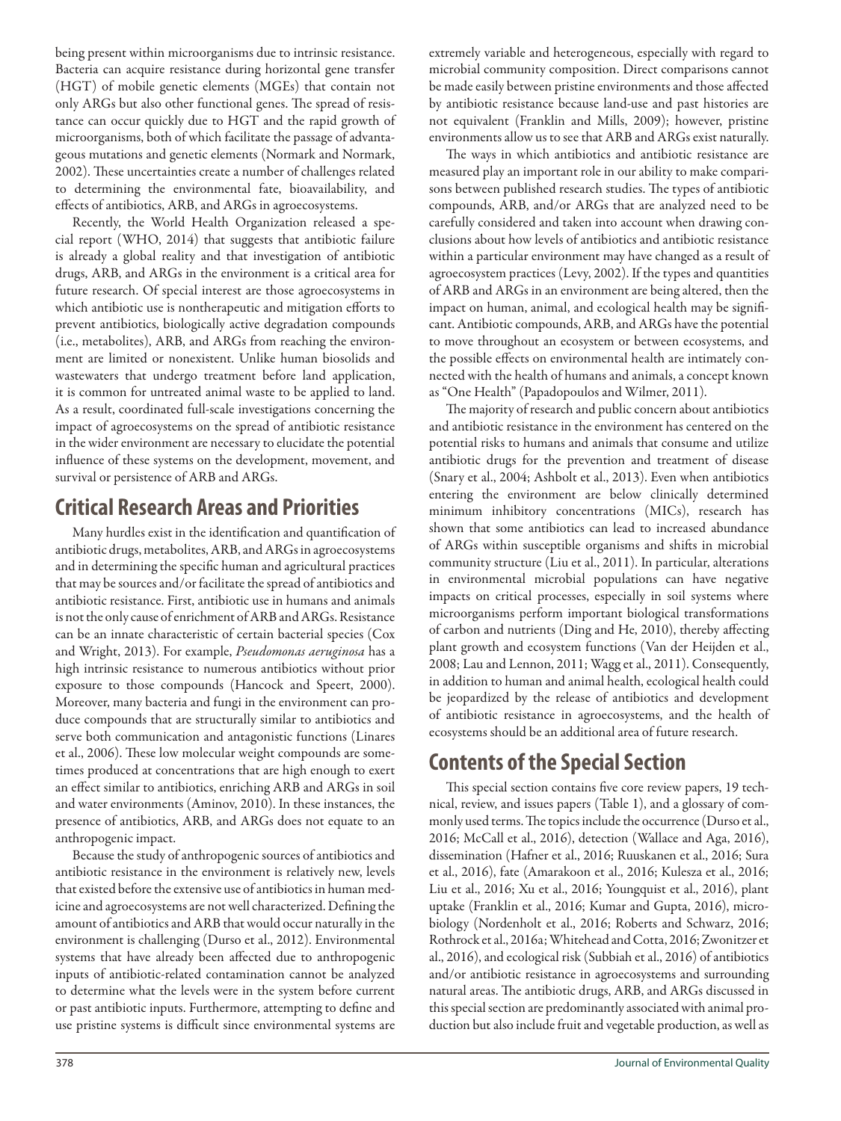being present within microorganisms due to intrinsic resistance. Bacteria can acquire resistance during horizontal gene transfer (HGT) of mobile genetic elements (MGEs) that contain not only ARGs but also other functional genes. The spread of resistance can occur quickly due to HGT and the rapid growth of microorganisms, both of which facilitate the passage of advantageous mutations and genetic elements (Normark and Normark, 2002). These uncertainties create a number of challenges related to determining the environmental fate, bioavailability, and effects of antibiotics, ARB, and ARGs in agroecosystems.

Recently, the World Health Organization released a special report (WHO, 2014) that suggests that antibiotic failure is already a global reality and that investigation of antibiotic drugs, ARB, and ARGs in the environment is a critical area for future research. Of special interest are those agroecosystems in which antibiotic use is nontherapeutic and mitigation efforts to prevent antibiotics, biologically active degradation compounds (i.e., metabolites), ARB, and ARGs from reaching the environment are limited or nonexistent. Unlike human biosolids and wastewaters that undergo treatment before land application, it is common for untreated animal waste to be applied to land. As a result, coordinated full-scale investigations concerning the impact of agroecosystems on the spread of antibiotic resistance in the wider environment are necessary to elucidate the potential influence of these systems on the development, movement, and survival or persistence of ARB and ARGs.

# **Critical Research Areas and Priorities**

Many hurdles exist in the identification and quantification of antibiotic drugs, metabolites, ARB, and ARGs in agroecosystems and in determining the specific human and agricultural practices that may be sources and/or facilitate the spread of antibiotics and antibiotic resistance. First, antibiotic use in humans and animals is not the only cause of enrichment of ARB and ARGs. Resistance can be an innate characteristic of certain bacterial species (Cox and Wright, 2013). For example, *Pseudomonas aeruginosa* has a high intrinsic resistance to numerous antibiotics without prior exposure to those compounds (Hancock and Speert, 2000). Moreover, many bacteria and fungi in the environment can produce compounds that are structurally similar to antibiotics and serve both communication and antagonistic functions (Linares et al., 2006). These low molecular weight compounds are sometimes produced at concentrations that are high enough to exert an effect similar to antibiotics, enriching ARB and ARGs in soil and water environments (Aminov, 2010). In these instances, the presence of antibiotics, ARB, and ARGs does not equate to an anthropogenic impact.

Because the study of anthropogenic sources of antibiotics and antibiotic resistance in the environment is relatively new, levels that existed before the extensive use of antibiotics in human medicine and agroecosystems are not well characterized. Defining the amount of antibiotics and ARB that would occur naturally in the environment is challenging (Durso et al., 2012). Environmental systems that have already been affected due to anthropogenic inputs of antibiotic-related contamination cannot be analyzed to determine what the levels were in the system before current or past antibiotic inputs. Furthermore, attempting to define and use pristine systems is difficult since environmental systems are extremely variable and heterogeneous, especially with regard to microbial community composition. Direct comparisons cannot be made easily between pristine environments and those affected by antibiotic resistance because land-use and past histories are not equivalent (Franklin and Mills, 2009); however, pristine environments allow us to see that ARB and ARGs exist naturally.

The ways in which antibiotics and antibiotic resistance are measured play an important role in our ability to make comparisons between published research studies. The types of antibiotic compounds, ARB, and/or ARGs that are analyzed need to be carefully considered and taken into account when drawing conclusions about how levels of antibiotics and antibiotic resistance within a particular environment may have changed as a result of agroecosystem practices (Levy, 2002). If the types and quantities of ARB and ARGs in an environment are being altered, then the impact on human, animal, and ecological health may be significant. Antibiotic compounds, ARB, and ARGs have the potential to move throughout an ecosystem or between ecosystems, and the possible effects on environmental health are intimately connected with the health of humans and animals, a concept known as "One Health" (Papadopoulos and Wilmer, 2011).

The majority of research and public concern about antibiotics and antibiotic resistance in the environment has centered on the potential risks to humans and animals that consume and utilize antibiotic drugs for the prevention and treatment of disease (Snary et al., 2004; Ashbolt et al., 2013). Even when antibiotics entering the environment are below clinically determined minimum inhibitory concentrations (MICs), research has shown that some antibiotics can lead to increased abundance of ARGs within susceptible organisms and shifts in microbial community structure (Liu et al., 2011). In particular, alterations in environmental microbial populations can have negative impacts on critical processes, especially in soil systems where microorganisms perform important biological transformations of carbon and nutrients (Ding and He, 2010), thereby affecting plant growth and ecosystem functions (Van der Heijden et al., 2008; Lau and Lennon, 2011; Wagg et al., 2011). Consequently, in addition to human and animal health, ecological health could be jeopardized by the release of antibiotics and development of antibiotic resistance in agroecosystems, and the health of ecosystems should be an additional area of future research.

# **Contents of the Special Section**

This special section contains five core review papers, 19 technical, review, and issues papers (Table 1), and a glossary of commonly used terms. The topics include the occurrence (Durso et al., 2016; McCall et al., 2016), detection (Wallace and Aga, 2016), dissemination (Hafner et al., 2016; Ruuskanen et al., 2016; Sura et al., 2016), fate (Amarakoon et al., 2016; Kulesza et al., 2016; Liu et al., 2016; Xu et al., 2016; Youngquist et al., 2016), plant uptake (Franklin et al., 2016; Kumar and Gupta, 2016), microbiology (Nordenholt et al., 2016; Roberts and Schwarz, 2016; Rothrock et al., 2016a; Whitehead and Cotta, 2016; Zwonitzer et al., 2016), and ecological risk (Subbiah et al., 2016) of antibiotics and/or antibiotic resistance in agroecosystems and surrounding natural areas. The antibiotic drugs, ARB, and ARGs discussed in this special section are predominantly associated with animal production but also include fruit and vegetable production, as well as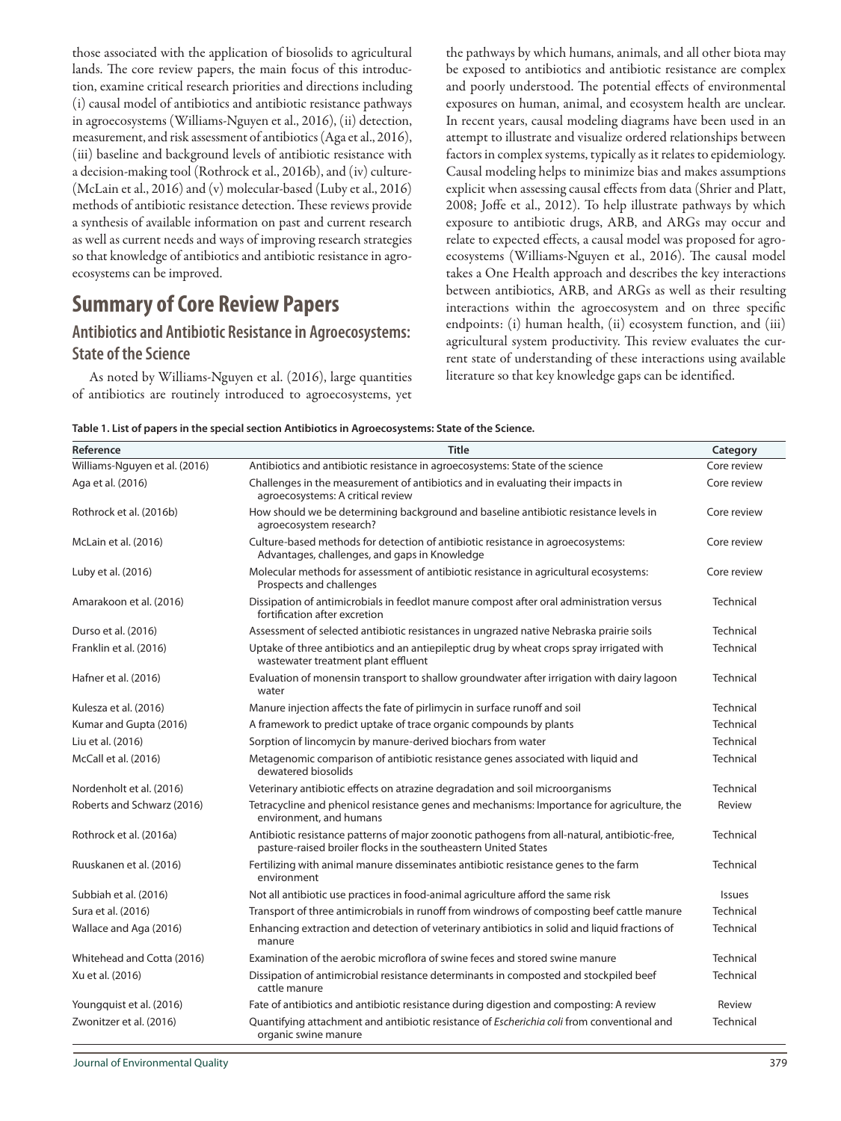those associated with the application of biosolids to agricultural lands. The core review papers, the main focus of this introduction, examine critical research priorities and directions including (i) causal model of antibiotics and antibiotic resistance pathways in agroecosystems (Williams-Nguyen et al., 2016), (ii) detection, measurement, and risk assessment of antibiotics (Aga et al., 2016), (iii) baseline and background levels of antibiotic resistance with a decision-making tool (Rothrock et al., 2016b), and (iv) culture- (McLain et al., 2016) and (v) molecular-based (Luby et al., 2016) methods of antibiotic resistance detection. These reviews provide a synthesis of available information on past and current research as well as current needs and ways of improving research strategies so that knowledge of antibiotics and antibiotic resistance in agroecosystems can be improved.

# **Summary of Core Review Papers**

### **Antibiotics and Antibiotic Resistance in Agroecosystems: State of the Science**

As noted by Williams-Nguyen et al. (2016), large quantities of antibiotics are routinely introduced to agroecosystems, yet

the pathways by which humans, animals, and all other biota may be exposed to antibiotics and antibiotic resistance are complex and poorly understood. The potential effects of environmental exposures on human, animal, and ecosystem health are unclear. In recent years, causal modeling diagrams have been used in an attempt to illustrate and visualize ordered relationships between factors in complex systems, typically as it relates to epidemiology. Causal modeling helps to minimize bias and makes assumptions explicit when assessing causal effects from data (Shrier and Platt, 2008; Joffe et al., 2012). To help illustrate pathways by which exposure to antibiotic drugs, ARB, and ARGs may occur and relate to expected effects, a causal model was proposed for agroecosystems (Williams-Nguyen et al., 2016). The causal model takes a One Health approach and describes the key interactions between antibiotics, ARB, and ARGs as well as their resulting interactions within the agroecosystem and on three specific endpoints: (i) human health, (ii) ecosystem function, and (iii) agricultural system productivity. This review evaluates the current state of understanding of these interactions using available literature so that key knowledge gaps can be identified.

|  |  | Table 1. List of papers in the special section Antibiotics in Agroecosystems: State of the Science. |
|--|--|-----------------------------------------------------------------------------------------------------|
|  |  |                                                                                                     |

| Reference                     | <b>Title</b>                                                                                                                                                     | Category      |
|-------------------------------|------------------------------------------------------------------------------------------------------------------------------------------------------------------|---------------|
| Williams-Nguyen et al. (2016) | Antibiotics and antibiotic resistance in agroecosystems: State of the science                                                                                    | Core review   |
| Aga et al. (2016)             | Challenges in the measurement of antibiotics and in evaluating their impacts in<br>agroecosystems: A critical review                                             | Core review   |
| Rothrock et al. (2016b)       | How should we be determining background and baseline antibiotic resistance levels in<br>agroecosystem research?                                                  | Core review   |
| McLain et al. (2016)          | Culture-based methods for detection of antibiotic resistance in agroecosystems:<br>Advantages, challenges, and gaps in Knowledge                                 | Core review   |
| Luby et al. (2016)            | Molecular methods for assessment of antibiotic resistance in agricultural ecosystems:<br>Prospects and challenges                                                | Core review   |
| Amarakoon et al. (2016)       | Dissipation of antimicrobials in feedlot manure compost after oral administration versus<br>fortification after excretion                                        | Technical     |
| Durso et al. (2016)           | Assessment of selected antibiotic resistances in ungrazed native Nebraska prairie soils                                                                          | Technical     |
| Franklin et al. (2016)        | Uptake of three antibiotics and an antiepileptic drug by wheat crops spray irrigated with<br>wastewater treatment plant effluent                                 | Technical     |
| Hafner et al. (2016)          | Evaluation of monensin transport to shallow groundwater after irrigation with dairy lagoon<br>water                                                              | Technical     |
| Kulesza et al. (2016)         | Manure injection affects the fate of pirlimycin in surface runoff and soil                                                                                       | Technical     |
| Kumar and Gupta (2016)        | A framework to predict uptake of trace organic compounds by plants                                                                                               | Technical     |
| Liu et al. (2016)             | Sorption of lincomycin by manure-derived biochars from water                                                                                                     | Technical     |
| McCall et al. (2016)          | Metagenomic comparison of antibiotic resistance genes associated with liquid and<br>dewatered biosolids                                                          | Technical     |
| Nordenholt et al. (2016)      | Veterinary antibiotic effects on atrazine degradation and soil microorganisms                                                                                    | Technical     |
| Roberts and Schwarz (2016)    | Tetracycline and phenicol resistance genes and mechanisms: Importance for agriculture, the<br>environment, and humans                                            | Review        |
| Rothrock et al. (2016a)       | Antibiotic resistance patterns of major zoonotic pathogens from all-natural, antibiotic-free,<br>pasture-raised broiler flocks in the southeastern United States | Technical     |
| Ruuskanen et al. (2016)       | Fertilizing with animal manure disseminates antibiotic resistance genes to the farm<br>environment                                                               | Technical     |
| Subbiah et al. (2016)         | Not all antibiotic use practices in food-animal agriculture afford the same risk                                                                                 | <b>Issues</b> |
| Sura et al. (2016)            | Transport of three antimicrobials in runoff from windrows of composting beef cattle manure                                                                       | Technical     |
| Wallace and Aga (2016)        | Enhancing extraction and detection of veterinary antibiotics in solid and liquid fractions of<br>manure                                                          | Technical     |
| Whitehead and Cotta (2016)    | Examination of the aerobic microflora of swine feces and stored swine manure                                                                                     | Technical     |
| Xu et al. (2016)              | Dissipation of antimicrobial resistance determinants in composted and stockpiled beef<br>cattle manure                                                           | Technical     |
| Youngquist et al. (2016)      | Fate of antibiotics and antibiotic resistance during digestion and composting: A review                                                                          | Review        |
| Zwonitzer et al. (2016)       | Quantifying attachment and antibiotic resistance of Escherichia coli from conventional and<br>organic swine manure                                               | Technical     |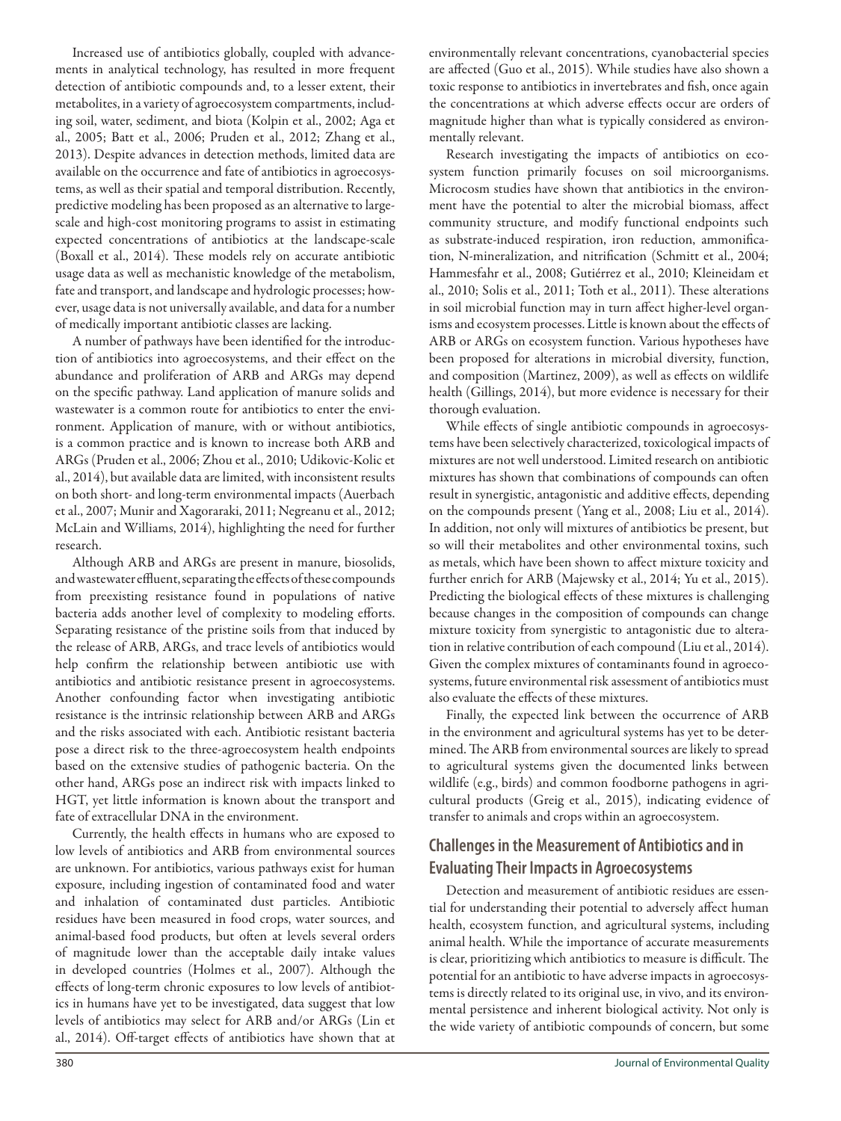Increased use of antibiotics globally, coupled with advancements in analytical technology, has resulted in more frequent detection of antibiotic compounds and, to a lesser extent, their metabolites, in a variety of agroecosystem compartments, including soil, water, sediment, and biota (Kolpin et al., 2002; Aga et al., 2005; Batt et al., 2006; Pruden et al., 2012; Zhang et al., 2013). Despite advances in detection methods, limited data are available on the occurrence and fate of antibiotics in agroecosystems, as well as their spatial and temporal distribution. Recently, predictive modeling has been proposed as an alternative to largescale and high-cost monitoring programs to assist in estimating expected concentrations of antibiotics at the landscape-scale (Boxall et al., 2014). These models rely on accurate antibiotic usage data as well as mechanistic knowledge of the metabolism, fate and transport, and landscape and hydrologic processes; however, usage data is not universally available, and data for a number of medically important antibiotic classes are lacking.

A number of pathways have been identified for the introduction of antibiotics into agroecosystems, and their effect on the abundance and proliferation of ARB and ARGs may depend on the specific pathway. Land application of manure solids and wastewater is a common route for antibiotics to enter the environment. Application of manure, with or without antibiotics, is a common practice and is known to increase both ARB and ARGs (Pruden et al., 2006; Zhou et al., 2010; Udikovic-Kolic et al., 2014), but available data are limited, with inconsistent results on both short- and long-term environmental impacts (Auerbach et al., 2007; Munir and Xagoraraki, 2011; Negreanu et al., 2012; McLain and Williams, 2014), highlighting the need for further research.

Although ARB and ARGs are present in manure, biosolids, and wastewater effluent, separating the effects of these compounds from preexisting resistance found in populations of native bacteria adds another level of complexity to modeling efforts. Separating resistance of the pristine soils from that induced by the release of ARB, ARGs, and trace levels of antibiotics would help confirm the relationship between antibiotic use with antibiotics and antibiotic resistance present in agroecosystems. Another confounding factor when investigating antibiotic resistance is the intrinsic relationship between ARB and ARGs and the risks associated with each. Antibiotic resistant bacteria pose a direct risk to the three-agroecosystem health endpoints based on the extensive studies of pathogenic bacteria. On the other hand, ARGs pose an indirect risk with impacts linked to HGT, yet little information is known about the transport and fate of extracellular DNA in the environment.

Currently, the health effects in humans who are exposed to low levels of antibiotics and ARB from environmental sources are unknown. For antibiotics, various pathways exist for human exposure, including ingestion of contaminated food and water and inhalation of contaminated dust particles. Antibiotic residues have been measured in food crops, water sources, and animal-based food products, but often at levels several orders of magnitude lower than the acceptable daily intake values in developed countries (Holmes et al., 2007). Although the effects of long-term chronic exposures to low levels of antibiotics in humans have yet to be investigated, data suggest that low levels of antibiotics may select for ARB and/or ARGs (Lin et al., 2014). Off-target effects of antibiotics have shown that at environmentally relevant concentrations, cyanobacterial species are affected (Guo et al., 2015). While studies have also shown a toxic response to antibiotics in invertebrates and fish, once again the concentrations at which adverse effects occur are orders of magnitude higher than what is typically considered as environmentally relevant.

Research investigating the impacts of antibiotics on ecosystem function primarily focuses on soil microorganisms. Microcosm studies have shown that antibiotics in the environment have the potential to alter the microbial biomass, affect community structure, and modify functional endpoints such as substrate-induced respiration, iron reduction, ammonification, N-mineralization, and nitrification (Schmitt et al., 2004; Hammesfahr et al., 2008; Gutiérrez et al., 2010; Kleineidam et al., 2010; Solis et al., 2011; Toth et al., 2011). These alterations in soil microbial function may in turn affect higher-level organisms and ecosystem processes. Little is known about the effects of ARB or ARGs on ecosystem function. Various hypotheses have been proposed for alterations in microbial diversity, function, and composition (Martinez, 2009), as well as effects on wildlife health (Gillings, 2014), but more evidence is necessary for their thorough evaluation.

While effects of single antibiotic compounds in agroecosystems have been selectively characterized, toxicological impacts of mixtures are not well understood. Limited research on antibiotic mixtures has shown that combinations of compounds can often result in synergistic, antagonistic and additive effects, depending on the compounds present (Yang et al., 2008; Liu et al., 2014). In addition, not only will mixtures of antibiotics be present, but so will their metabolites and other environmental toxins, such as metals, which have been shown to affect mixture toxicity and further enrich for ARB (Majewsky et al., 2014; Yu et al., 2015). Predicting the biological effects of these mixtures is challenging because changes in the composition of compounds can change mixture toxicity from synergistic to antagonistic due to alteration in relative contribution of each compound (Liu et al., 2014). Given the complex mixtures of contaminants found in agroecosystems, future environmental risk assessment of antibiotics must also evaluate the effects of these mixtures.

Finally, the expected link between the occurrence of ARB in the environment and agricultural systems has yet to be determined. The ARB from environmental sources are likely to spread to agricultural systems given the documented links between wildlife (e.g., birds) and common foodborne pathogens in agricultural products (Greig et al., 2015), indicating evidence of transfer to animals and crops within an agroecosystem.

### **Challenges in the Measurement of Antibiotics and in Evaluating Their Impacts in Agroecosystems**

Detection and measurement of antibiotic residues are essential for understanding their potential to adversely affect human health, ecosystem function, and agricultural systems, including animal health. While the importance of accurate measurements is clear, prioritizing which antibiotics to measure is difficult. The potential for an antibiotic to have adverse impacts in agroecosystems is directly related to its original use, in vivo, and its environmental persistence and inherent biological activity. Not only is the wide variety of antibiotic compounds of concern, but some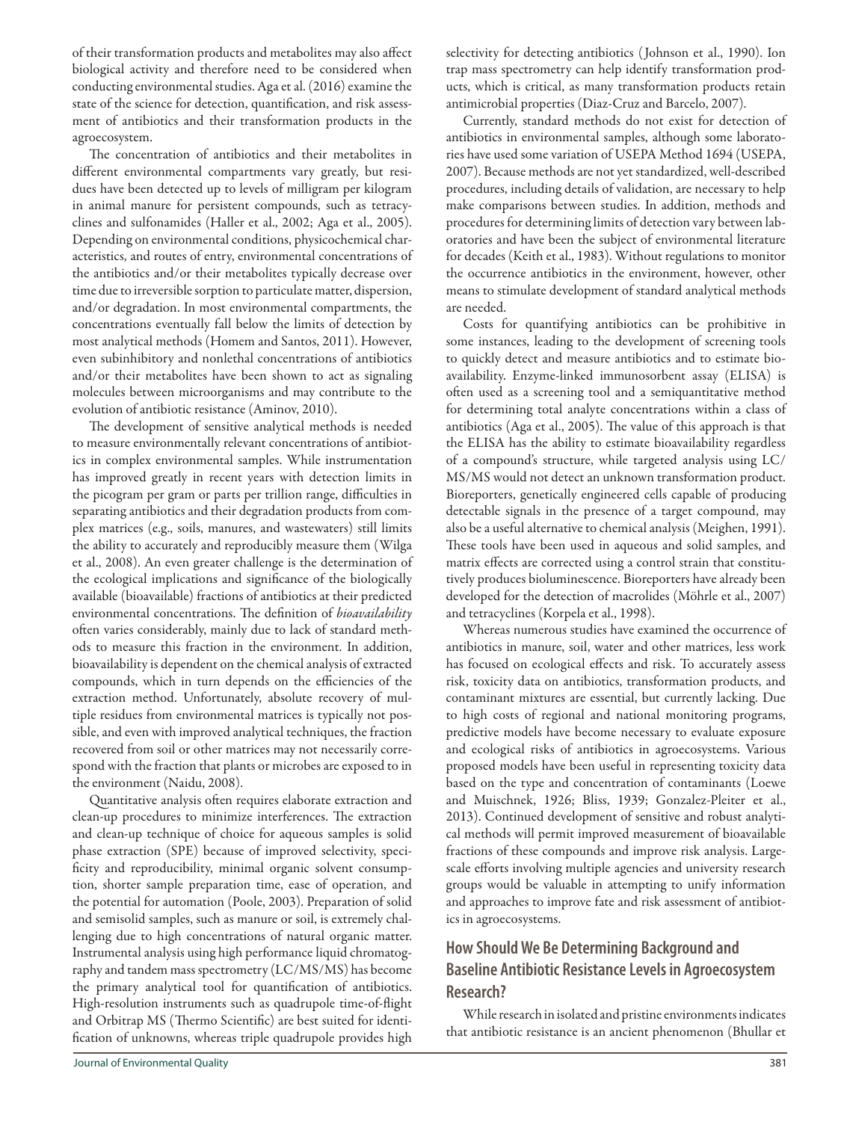of their transformation products and metabolites may also affect biological activity and therefore need to be considered when conducting environmental studies. Aga et al. (2016) examine the state of the science for detection, quantification, and risk assessment of antibiotics and their transformation products in the agroecosystem.

The concentration of antibiotics and their metabolites in different environmental compartments vary greatly, but residues have been detected up to levels of milligram per kilogram in animal manure for persistent compounds, such as tetracyclines and sulfonamides (Haller et al., 2002; Aga et al., 2005). Depending on environmental conditions, physicochemical characteristics, and routes of entry, environmental concentrations of the antibiotics and/or their metabolites typically decrease over time due to irreversible sorption to particulate matter, dispersion, and/or degradation. In most environmental compartments, the concentrations eventually fall below the limits of detection by most analytical methods (Homem and Santos, 2011). However, even subinhibitory and nonlethal concentrations of antibiotics and/or their metabolites have been shown to act as signaling molecules between microorganisms and may contribute to the evolution of antibiotic resistance (Aminov, 2010).

The development of sensitive analytical methods is needed to measure environmentally relevant concentrations of antibiotics in complex environmental samples. While instrumentation has improved greatly in recent years with detection limits in the picogram per gram or parts per trillion range, difficulties in separating antibiotics and their degradation products from complex matrices (e.g., soils, manures, and wastewaters) still limits the ability to accurately and reproducibly measure them (Wilga et al., 2008). An even greater challenge is the determination of the ecological implications and significance of the biologically available (bioavailable) fractions of antibiotics at their predicted environmental concentrations. The definition of *bioavailability* often varies considerably, mainly due to lack of standard methods to measure this fraction in the environment. In addition, bioavailability is dependent on the chemical analysis of extracted compounds, which in turn depends on the efficiencies of the extraction method. Unfortunately, absolute recovery of multiple residues from environmental matrices is typically not possible, and even with improved analytical techniques, the fraction recovered from soil or other matrices may not necessarily correspond with the fraction that plants or microbes are exposed to in the environment (Naidu, 2008).

Quantitative analysis often requires elaborate extraction and clean-up procedures to minimize interferences. The extraction and clean-up technique of choice for aqueous samples is solid phase extraction (SPE) because of improved selectivity, specificity and reproducibility, minimal organic solvent consumption, shorter sample preparation time, ease of operation, and the potential for automation (Poole, 2003). Preparation of solid and semisolid samples, such as manure or soil, is extremely challenging due to high concentrations of natural organic matter. Instrumental analysis using high performance liquid chromatography and tandem mass spectrometry (LC/MS/MS) has become the primary analytical tool for quantification of antibiotics. High-resolution instruments such as quadrupole time-of-flight and Orbitrap MS (Thermo Scientific) are best suited for identification of unknowns, whereas triple quadrupole provides high

selectivity for detecting antibiotics ( Johnson et al., 1990). Ion trap mass spectrometry can help identify transformation products, which is critical, as many transformation products retain antimicrobial properties (Diaz-Cruz and Barcelo, 2007).

Currently, standard methods do not exist for detection of antibiotics in environmental samples, although some laboratories have used some variation of USEPA Method 1694 (USEPA, 2007). Because methods are not yet standardized, well-described procedures, including details of validation, are necessary to help make comparisons between studies. In addition, methods and procedures for determining limits of detection vary between laboratories and have been the subject of environmental literature for decades (Keith et al., 1983). Without regulations to monitor the occurrence antibiotics in the environment, however, other means to stimulate development of standard analytical methods are needed.

Costs for quantifying antibiotics can be prohibitive in some instances, leading to the development of screening tools to quickly detect and measure antibiotics and to estimate bioavailability. Enzyme-linked immunosorbent assay (ELISA) is often used as a screening tool and a semiquantitative method for determining total analyte concentrations within a class of antibiotics (Aga et al., 2005). The value of this approach is that the ELISA has the ability to estimate bioavailability regardless of a compound's structure, while targeted analysis using LC/ MS/MS would not detect an unknown transformation product. Bioreporters, genetically engineered cells capable of producing detectable signals in the presence of a target compound, may also be a useful alternative to chemical analysis (Meighen, 1991). These tools have been used in aqueous and solid samples, and matrix effects are corrected using a control strain that constitutively produces bioluminescence. Bioreporters have already been developed for the detection of macrolides (Möhrle et al., 2007) and tetracyclines (Korpela et al., 1998).

Whereas numerous studies have examined the occurrence of antibiotics in manure, soil, water and other matrices, less work has focused on ecological effects and risk. To accurately assess risk, toxicity data on antibiotics, transformation products, and contaminant mixtures are essential, but currently lacking. Due to high costs of regional and national monitoring programs, predictive models have become necessary to evaluate exposure and ecological risks of antibiotics in agroecosystems. Various proposed models have been useful in representing toxicity data based on the type and concentration of contaminants (Loewe and Muischnek, 1926; Bliss, 1939; Gonzalez-Pleiter et al., 2013). Continued development of sensitive and robust analytical methods will permit improved measurement of bioavailable fractions of these compounds and improve risk analysis. Largescale efforts involving multiple agencies and university research groups would be valuable in attempting to unify information and approaches to improve fate and risk assessment of antibiotics in agroecosystems.

### **How Should We Be Determining Background and Baseline Antibiotic Resistance Levels in Agroecosystem Research?**

While research in isolated and pristine environments indicates that antibiotic resistance is an ancient phenomenon (Bhullar et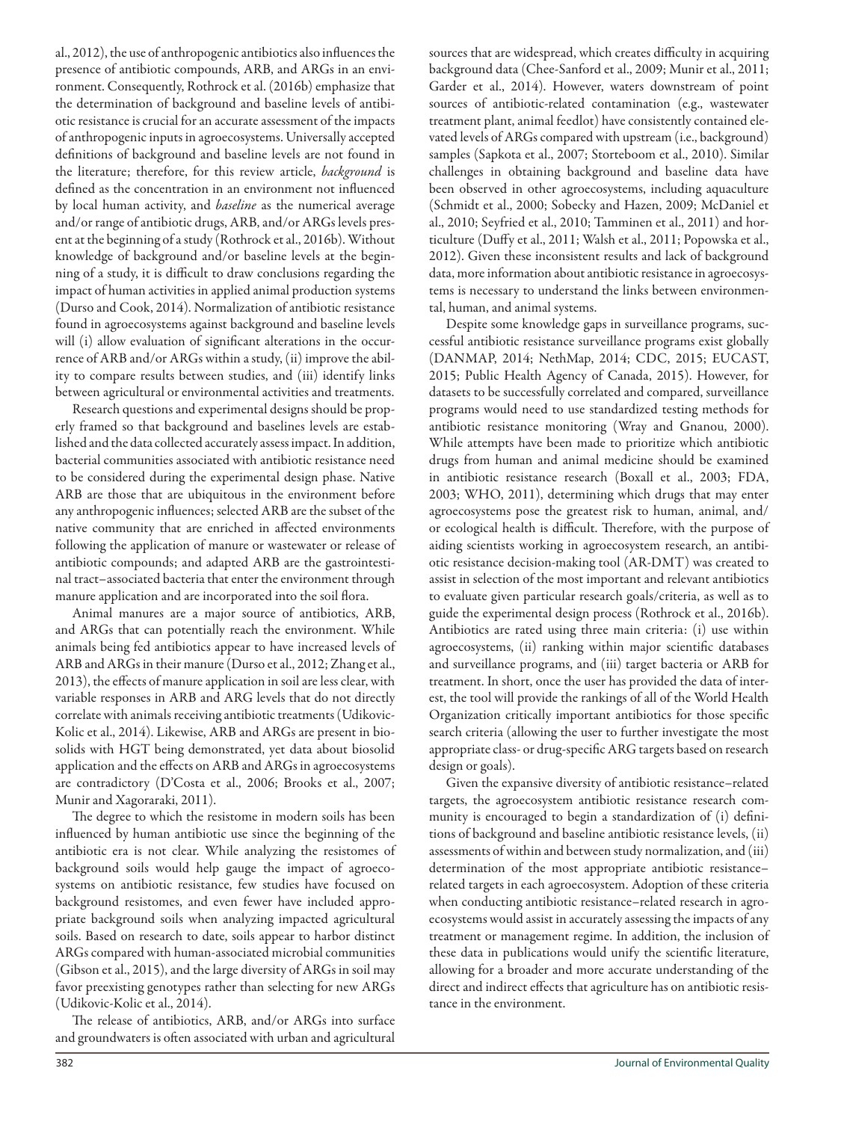al., 2012), the use of anthropogenic antibiotics also influences the presence of antibiotic compounds, ARB, and ARGs in an environment. Consequently, Rothrock et al. (2016b) emphasize that the determination of background and baseline levels of antibiotic resistance is crucial for an accurate assessment of the impacts of anthropogenic inputs in agroecosystems. Universally accepted definitions of background and baseline levels are not found in the literature; therefore, for this review article, *background* is defined as the concentration in an environment not influenced by local human activity, and *baseline* as the numerical average and/or range of antibiotic drugs, ARB, and/or ARGs levels present at the beginning of a study (Rothrock et al., 2016b). Without knowledge of background and/or baseline levels at the beginning of a study, it is difficult to draw conclusions regarding the impact of human activities in applied animal production systems (Durso and Cook, 2014). Normalization of antibiotic resistance found in agroecosystems against background and baseline levels will (i) allow evaluation of significant alterations in the occurrence of ARB and/or ARGs within a study, (ii) improve the ability to compare results between studies, and (iii) identify links between agricultural or environmental activities and treatments.

Research questions and experimental designs should be properly framed so that background and baselines levels are established and the data collected accurately assess impact. In addition, bacterial communities associated with antibiotic resistance need to be considered during the experimental design phase. Native ARB are those that are ubiquitous in the environment before any anthropogenic influences; selected ARB are the subset of the native community that are enriched in affected environments following the application of manure or wastewater or release of antibiotic compounds; and adapted ARB are the gastrointestinal tract–associated bacteria that enter the environment through manure application and are incorporated into the soil flora.

Animal manures are a major source of antibiotics, ARB, and ARGs that can potentially reach the environment. While animals being fed antibiotics appear to have increased levels of ARB and ARGs in their manure (Durso et al., 2012; Zhang et al., 2013), the effects of manure application in soil are less clear, with variable responses in ARB and ARG levels that do not directly correlate with animals receiving antibiotic treatments (Udikovic-Kolic et al., 2014). Likewise, ARB and ARGs are present in biosolids with HGT being demonstrated, yet data about biosolid application and the effects on ARB and ARGs in agroecosystems are contradictory (D'Costa et al., 2006; Brooks et al., 2007; Munir and Xagoraraki, 2011).

The degree to which the resistome in modern soils has been influenced by human antibiotic use since the beginning of the antibiotic era is not clear. While analyzing the resistomes of background soils would help gauge the impact of agroecosystems on antibiotic resistance, few studies have focused on background resistomes, and even fewer have included appropriate background soils when analyzing impacted agricultural soils. Based on research to date, soils appear to harbor distinct ARGs compared with human-associated microbial communities (Gibson et al., 2015), and the large diversity of ARGs in soil may favor preexisting genotypes rather than selecting for new ARGs (Udikovic-Kolic et al., 2014).

The release of antibiotics, ARB, and/or ARGs into surface and groundwaters is often associated with urban and agricultural sources that are widespread, which creates difficulty in acquiring background data (Chee-Sanford et al., 2009; Munir et al., 2011; Garder et al., 2014). However, waters downstream of point sources of antibiotic-related contamination (e.g., wastewater treatment plant, animal feedlot) have consistently contained elevated levels of ARGs compared with upstream (i.e., background) samples (Sapkota et al., 2007; Storteboom et al., 2010). Similar challenges in obtaining background and baseline data have been observed in other agroecosystems, including aquaculture (Schmidt et al., 2000; Sobecky and Hazen, 2009; McDaniel et al., 2010; Seyfried et al., 2010; Tamminen et al., 2011) and horticulture (Duffy et al., 2011; Walsh et al., 2011; Popowska et al., 2012). Given these inconsistent results and lack of background data, more information about antibiotic resistance in agroecosystems is necessary to understand the links between environmental, human, and animal systems.

Despite some knowledge gaps in surveillance programs, successful antibiotic resistance surveillance programs exist globally (DANMAP, 2014; NethMap, 2014; CDC, 2015; EUCAST, 2015; Public Health Agency of Canada, 2015). However, for datasets to be successfully correlated and compared, surveillance programs would need to use standardized testing methods for antibiotic resistance monitoring (Wray and Gnanou, 2000). While attempts have been made to prioritize which antibiotic drugs from human and animal medicine should be examined in antibiotic resistance research (Boxall et al., 2003; FDA, 2003; WHO, 2011), determining which drugs that may enter agroecosystems pose the greatest risk to human, animal, and/ or ecological health is difficult. Therefore, with the purpose of aiding scientists working in agroecosystem research, an antibiotic resistance decision-making tool (AR-DMT) was created to assist in selection of the most important and relevant antibiotics to evaluate given particular research goals/criteria, as well as to guide the experimental design process (Rothrock et al., 2016b). Antibiotics are rated using three main criteria: (i) use within agroecosystems, (ii) ranking within major scientific databases and surveillance programs, and (iii) target bacteria or ARB for treatment. In short, once the user has provided the data of interest, the tool will provide the rankings of all of the World Health Organization critically important antibiotics for those specific search criteria (allowing the user to further investigate the most appropriate class- or drug-specific ARG targets based on research design or goals).

Given the expansive diversity of antibiotic resistance–related targets, the agroecosystem antibiotic resistance research community is encouraged to begin a standardization of (i) definitions of background and baseline antibiotic resistance levels, (ii) assessments of within and between study normalization, and (iii) determination of the most appropriate antibiotic resistance– related targets in each agroecosystem. Adoption of these criteria when conducting antibiotic resistance–related research in agroecosystems would assist in accurately assessing the impacts of any treatment or management regime. In addition, the inclusion of these data in publications would unify the scientific literature, allowing for a broader and more accurate understanding of the direct and indirect effects that agriculture has on antibiotic resistance in the environment.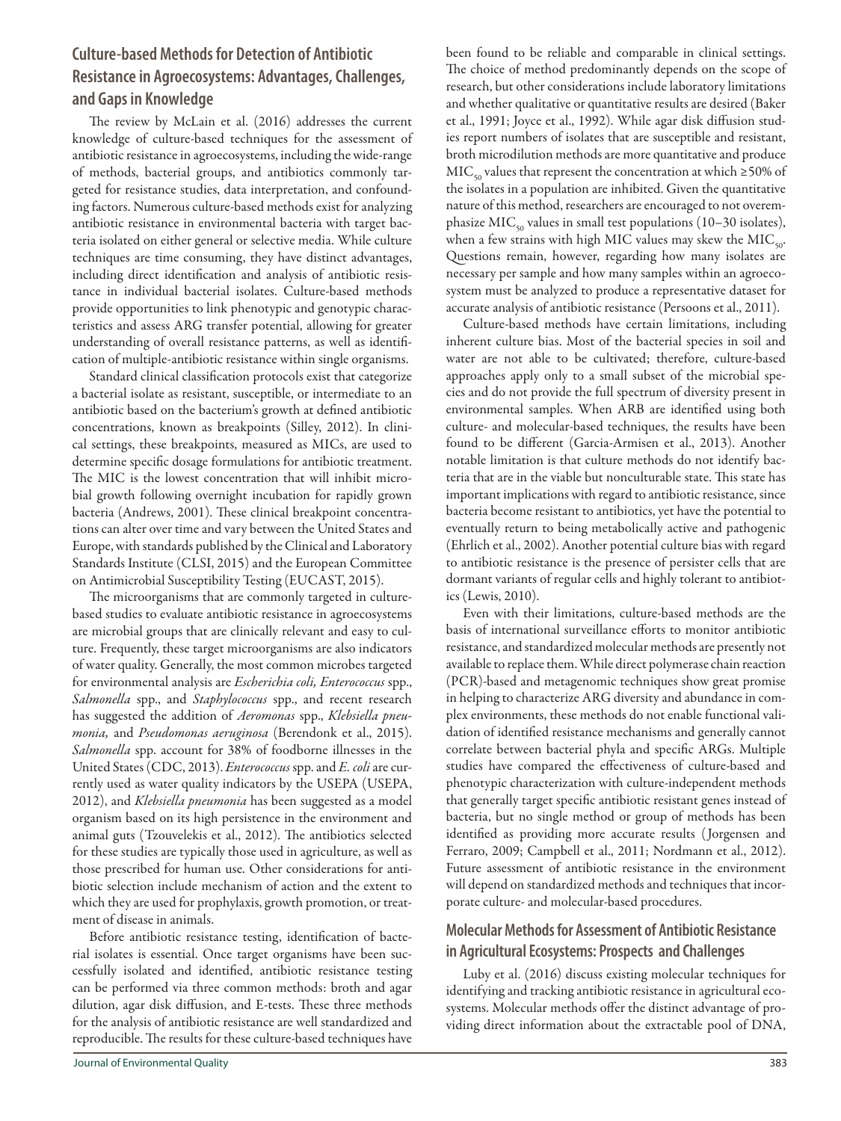### **Culture-based Methods for Detection of Antibiotic Resistance in Agroecosystems: Advantages, Challenges, and Gaps in Knowledge**

The review by McLain et al. (2016) addresses the current knowledge of culture-based techniques for the assessment of antibiotic resistance in agroecosystems, including the wide-range of methods, bacterial groups, and antibiotics commonly targeted for resistance studies, data interpretation, and confounding factors. Numerous culture-based methods exist for analyzing antibiotic resistance in environmental bacteria with target bacteria isolated on either general or selective media. While culture techniques are time consuming, they have distinct advantages, including direct identification and analysis of antibiotic resistance in individual bacterial isolates. Culture-based methods provide opportunities to link phenotypic and genotypic characteristics and assess ARG transfer potential, allowing for greater understanding of overall resistance patterns, as well as identification of multiple-antibiotic resistance within single organisms.

Standard clinical classification protocols exist that categorize a bacterial isolate as resistant, susceptible, or intermediate to an antibiotic based on the bacterium's growth at defined antibiotic concentrations, known as breakpoints (Silley, 2012). In clinical settings, these breakpoints, measured as MICs, are used to determine specific dosage formulations for antibiotic treatment. The MIC is the lowest concentration that will inhibit microbial growth following overnight incubation for rapidly grown bacteria (Andrews, 2001). These clinical breakpoint concentrations can alter over time and vary between the United States and Europe, with standards published by the Clinical and Laboratory Standards Institute (CLSI, 2015) and the European Committee on Antimicrobial Susceptibility Testing (EUCAST, 2015).

The microorganisms that are commonly targeted in culturebased studies to evaluate antibiotic resistance in agroecosystems are microbial groups that are clinically relevant and easy to culture. Frequently, these target microorganisms are also indicators of water quality. Generally, the most common microbes targeted for environmental analysis are *Escherichia coli, Enterococcus* spp., *Salmonella* spp., and *Staphylococcus* spp., and recent research has suggested the addition of *Aeromonas* spp., *Klebsiella pneumonia,* and *Pseudomonas aeruginosa* (Berendonk et al., 2015). *Salmonella* spp. account for 38% of foodborne illnesses in the United States (CDC, 2013). *Enterococcus* spp. and *E. coli* are currently used as water quality indicators by the USEPA (USEPA, 2012), and *Klebsiella pneumonia* has been suggested as a model organism based on its high persistence in the environment and animal guts (Tzouvelekis et al., 2012). The antibiotics selected for these studies are typically those used in agriculture, as well as those prescribed for human use. Other considerations for antibiotic selection include mechanism of action and the extent to which they are used for prophylaxis, growth promotion, or treatment of disease in animals.

Before antibiotic resistance testing, identification of bacterial isolates is essential. Once target organisms have been successfully isolated and identified, antibiotic resistance testing can be performed via three common methods: broth and agar dilution, agar disk diffusion, and E-tests. These three methods for the analysis of antibiotic resistance are well standardized and reproducible. The results for these culture-based techniques have

been found to be reliable and comparable in clinical settings. The choice of method predominantly depends on the scope of research, but other considerations include laboratory limitations and whether qualitative or quantitative results are desired (Baker et al., 1991; Joyce et al., 1992). While agar disk diffusion studies report numbers of isolates that are susceptible and resistant, broth microdilution methods are more quantitative and produce MIC<sub>50</sub> values that represent the concentration at which ≥50% of the isolates in a population are inhibited. Given the quantitative nature of this method, researchers are encouraged to not overemphasize MIC<sub>50</sub> values in small test populations (10–30 isolates), when a few strains with high MIC values may skew the MIC $_{50}$ . Questions remain, however, regarding how many isolates are necessary per sample and how many samples within an agroecosystem must be analyzed to produce a representative dataset for accurate analysis of antibiotic resistance (Persoons et al., 2011).

Culture-based methods have certain limitations, including inherent culture bias. Most of the bacterial species in soil and water are not able to be cultivated; therefore, culture-based approaches apply only to a small subset of the microbial species and do not provide the full spectrum of diversity present in environmental samples. When ARB are identified using both culture- and molecular-based techniques, the results have been found to be different (Garcia-Armisen et al., 2013). Another notable limitation is that culture methods do not identify bacteria that are in the viable but nonculturable state. This state has important implications with regard to antibiotic resistance, since bacteria become resistant to antibiotics, yet have the potential to eventually return to being metabolically active and pathogenic (Ehrlich et al., 2002). Another potential culture bias with regard to antibiotic resistance is the presence of persister cells that are dormant variants of regular cells and highly tolerant to antibiotics (Lewis, 2010).

Even with their limitations, culture-based methods are the basis of international surveillance efforts to monitor antibiotic resistance, and standardized molecular methods are presently not available to replace them. While direct polymerase chain reaction (PCR)-based and metagenomic techniques show great promise in helping to characterize ARG diversity and abundance in complex environments, these methods do not enable functional validation of identified resistance mechanisms and generally cannot correlate between bacterial phyla and specific ARGs. Multiple studies have compared the effectiveness of culture-based and phenotypic characterization with culture-independent methods that generally target specific antibiotic resistant genes instead of bacteria, but no single method or group of methods has been identified as providing more accurate results ( Jorgensen and Ferraro, 2009; Campbell et al., 2011; Nordmann et al., 2012). Future assessment of antibiotic resistance in the environment will depend on standardized methods and techniques that incorporate culture- and molecular-based procedures.

#### **Molecular Methods for Assessment of Antibiotic Resistance in Agricultural Ecosystems: Prospects and Challenges**

Luby et al. (2016) discuss existing molecular techniques for identifying and tracking antibiotic resistance in agricultural ecosystems. Molecular methods offer the distinct advantage of providing direct information about the extractable pool of DNA,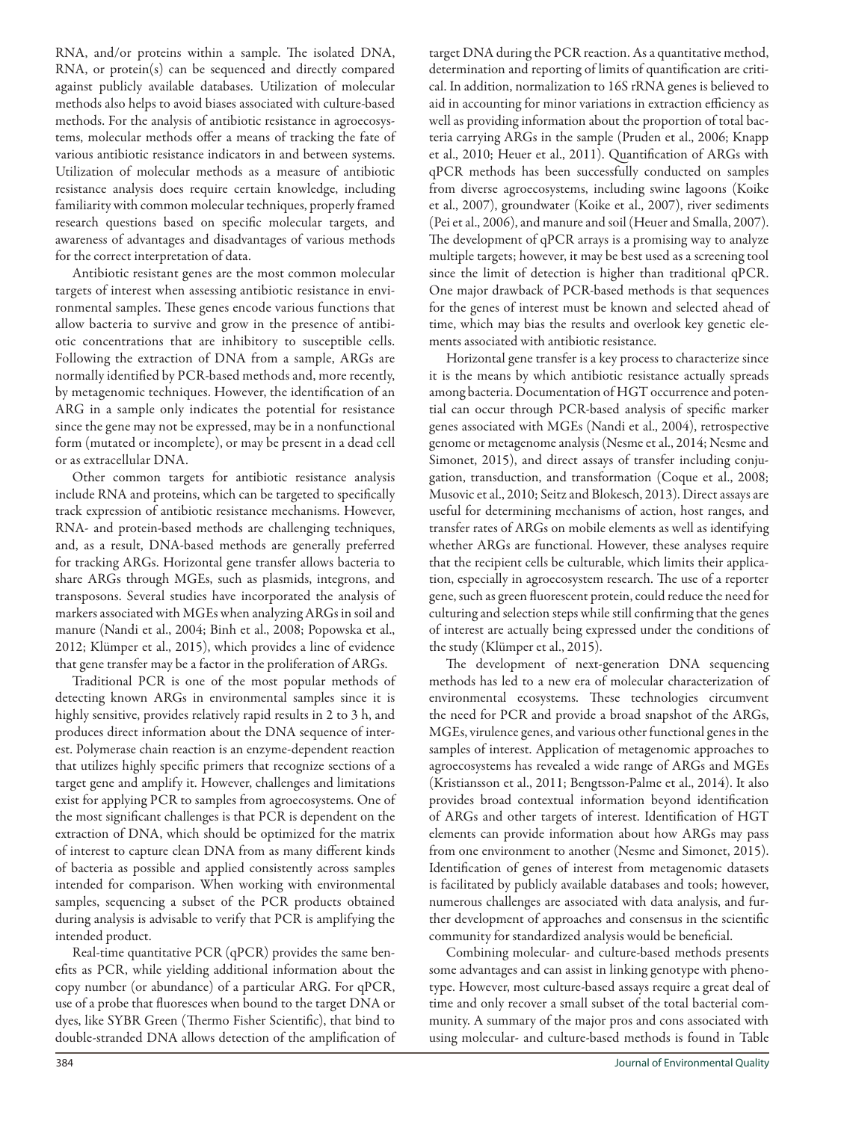RNA, and/or proteins within a sample. The isolated DNA, RNA, or protein(s) can be sequenced and directly compared against publicly available databases. Utilization of molecular methods also helps to avoid biases associated with culture-based methods. For the analysis of antibiotic resistance in agroecosystems, molecular methods offer a means of tracking the fate of various antibiotic resistance indicators in and between systems. Utilization of molecular methods as a measure of antibiotic resistance analysis does require certain knowledge, including familiarity with common molecular techniques, properly framed research questions based on specific molecular targets, and awareness of advantages and disadvantages of various methods for the correct interpretation of data.

Antibiotic resistant genes are the most common molecular targets of interest when assessing antibiotic resistance in environmental samples. These genes encode various functions that allow bacteria to survive and grow in the presence of antibiotic concentrations that are inhibitory to susceptible cells. Following the extraction of DNA from a sample, ARGs are normally identified by PCR-based methods and, more recently, by metagenomic techniques. However, the identification of an ARG in a sample only indicates the potential for resistance since the gene may not be expressed, may be in a nonfunctional form (mutated or incomplete), or may be present in a dead cell or as extracellular DNA.

Other common targets for antibiotic resistance analysis include RNA and proteins, which can be targeted to specifically track expression of antibiotic resistance mechanisms. However, RNA- and protein-based methods are challenging techniques, and, as a result, DNA-based methods are generally preferred for tracking ARGs. Horizontal gene transfer allows bacteria to share ARGs through MGEs, such as plasmids, integrons, and transposons. Several studies have incorporated the analysis of markers associated with MGEs when analyzing ARGs in soil and manure (Nandi et al., 2004; Binh et al., 2008; Popowska et al., 2012; Klümper et al., 2015), which provides a line of evidence that gene transfer may be a factor in the proliferation of ARGs.

Traditional PCR is one of the most popular methods of detecting known ARGs in environmental samples since it is highly sensitive, provides relatively rapid results in 2 to 3 h, and produces direct information about the DNA sequence of interest. Polymerase chain reaction is an enzyme-dependent reaction that utilizes highly specific primers that recognize sections of a target gene and amplify it. However, challenges and limitations exist for applying PCR to samples from agroecosystems. One of the most significant challenges is that PCR is dependent on the extraction of DNA, which should be optimized for the matrix of interest to capture clean DNA from as many different kinds of bacteria as possible and applied consistently across samples intended for comparison. When working with environmental samples, sequencing a subset of the PCR products obtained during analysis is advisable to verify that PCR is amplifying the intended product.

Real-time quantitative PCR (qPCR) provides the same benefits as PCR, while yielding additional information about the copy number (or abundance) of a particular ARG. For qPCR, use of a probe that fluoresces when bound to the target DNA or dyes, like SYBR Green (Thermo Fisher Scientific), that bind to double-stranded DNA allows detection of the amplification of target DNA during the PCR reaction. As a quantitative method, determination and reporting of limits of quantification are critical. In addition, normalization to 16S rRNA genes is believed to aid in accounting for minor variations in extraction efficiency as well as providing information about the proportion of total bacteria carrying ARGs in the sample (Pruden et al., 2006; Knapp et al., 2010; Heuer et al., 2011). Quantification of ARGs with qPCR methods has been successfully conducted on samples from diverse agroecosystems, including swine lagoons (Koike et al., 2007), groundwater (Koike et al., 2007), river sediments (Pei et al., 2006), and manure and soil (Heuer and Smalla, 2007). The development of qPCR arrays is a promising way to analyze multiple targets; however, it may be best used as a screening tool since the limit of detection is higher than traditional qPCR. One major drawback of PCR-based methods is that sequences for the genes of interest must be known and selected ahead of time, which may bias the results and overlook key genetic elements associated with antibiotic resistance.

Horizontal gene transfer is a key process to characterize since it is the means by which antibiotic resistance actually spreads among bacteria. Documentation of HGT occurrence and potential can occur through PCR-based analysis of specific marker genes associated with MGEs (Nandi et al., 2004), retrospective genome or metagenome analysis (Nesme et al., 2014; Nesme and Simonet, 2015), and direct assays of transfer including conjugation, transduction, and transformation (Coque et al., 2008; Musovic et al., 2010; Seitz and Blokesch, 2013). Direct assays are useful for determining mechanisms of action, host ranges, and transfer rates of ARGs on mobile elements as well as identifying whether ARGs are functional. However, these analyses require that the recipient cells be culturable, which limits their application, especially in agroecosystem research. The use of a reporter gene, such as green fluorescent protein, could reduce the need for culturing and selection steps while still confirming that the genes of interest are actually being expressed under the conditions of the study (Klümper et al., 2015).

The development of next-generation DNA sequencing methods has led to a new era of molecular characterization of environmental ecosystems. These technologies circumvent the need for PCR and provide a broad snapshot of the ARGs, MGEs, virulence genes, and various other functional genes in the samples of interest. Application of metagenomic approaches to agroecosystems has revealed a wide range of ARGs and MGEs (Kristiansson et al., 2011; Bengtsson-Palme et al., 2014). It also provides broad contextual information beyond identification of ARGs and other targets of interest. Identification of HGT elements can provide information about how ARGs may pass from one environment to another (Nesme and Simonet, 2015). Identification of genes of interest from metagenomic datasets is facilitated by publicly available databases and tools; however, numerous challenges are associated with data analysis, and further development of approaches and consensus in the scientific community for standardized analysis would be beneficial.

Combining molecular- and culture-based methods presents some advantages and can assist in linking genotype with phenotype. However, most culture-based assays require a great deal of time and only recover a small subset of the total bacterial community. A summary of the major pros and cons associated with using molecular- and culture-based methods is found in Table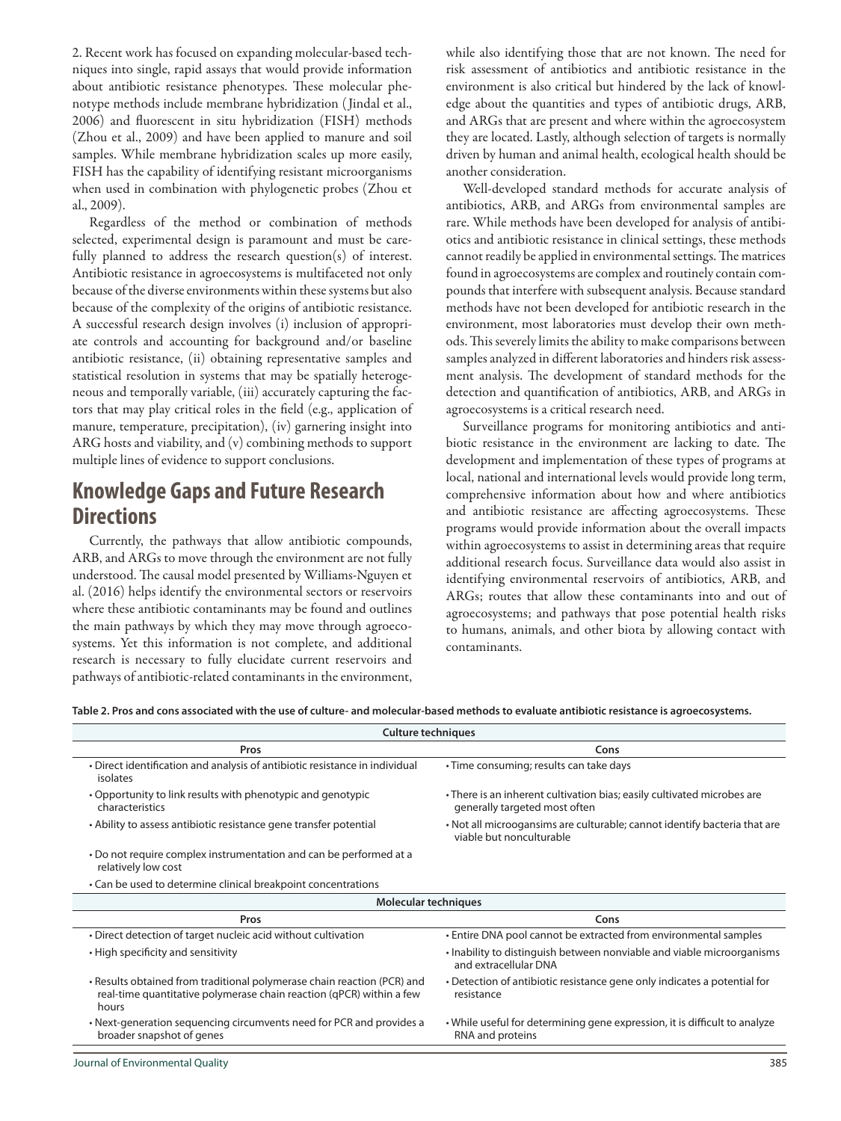2. Recent work has focused on expanding molecular-based techniques into single, rapid assays that would provide information about antibiotic resistance phenotypes. These molecular phenotype methods include membrane hybridization ( Jindal et al., 2006) and fluorescent in situ hybridization (FISH) methods (Zhou et al., 2009) and have been applied to manure and soil samples. While membrane hybridization scales up more easily, FISH has the capability of identifying resistant microorganisms when used in combination with phylogenetic probes (Zhou et al., 2009).

Regardless of the method or combination of methods selected, experimental design is paramount and must be carefully planned to address the research question(s) of interest. Antibiotic resistance in agroecosystems is multifaceted not only because of the diverse environments within these systems but also because of the complexity of the origins of antibiotic resistance. A successful research design involves (i) inclusion of appropriate controls and accounting for background and/or baseline antibiotic resistance, (ii) obtaining representative samples and statistical resolution in systems that may be spatially heterogeneous and temporally variable, (iii) accurately capturing the factors that may play critical roles in the field (e.g., application of manure, temperature, precipitation), (iv) garnering insight into ARG hosts and viability, and (v) combining methods to support multiple lines of evidence to support conclusions.

## **Knowledge Gaps and Future Research Directions**

Currently, the pathways that allow antibiotic compounds, ARB, and ARGs to move through the environment are not fully understood. The causal model presented by Williams-Nguyen et al. (2016) helps identify the environmental sectors or reservoirs where these antibiotic contaminants may be found and outlines the main pathways by which they may move through agroecosystems. Yet this information is not complete, and additional research is necessary to fully elucidate current reservoirs and pathways of antibiotic-related contaminants in the environment, while also identifying those that are not known. The need for risk assessment of antibiotics and antibiotic resistance in the environment is also critical but hindered by the lack of knowledge about the quantities and types of antibiotic drugs, ARB, and ARGs that are present and where within the agroecosystem they are located. Lastly, although selection of targets is normally driven by human and animal health, ecological health should be another consideration.

Well-developed standard methods for accurate analysis of antibiotics, ARB, and ARGs from environmental samples are rare. While methods have been developed for analysis of antibiotics and antibiotic resistance in clinical settings, these methods cannot readily be applied in environmental settings. The matrices found in agroecosystems are complex and routinely contain compounds that interfere with subsequent analysis. Because standard methods have not been developed for antibiotic research in the environment, most laboratories must develop their own methods. This severely limits the ability to make comparisons between samples analyzed in different laboratories and hinders risk assessment analysis. The development of standard methods for the detection and quantification of antibiotics, ARB, and ARGs in agroecosystems is a critical research need.

Surveillance programs for monitoring antibiotics and antibiotic resistance in the environment are lacking to date. The development and implementation of these types of programs at local, national and international levels would provide long term, comprehensive information about how and where antibiotics and antibiotic resistance are affecting agroecosystems. These programs would provide information about the overall impacts within agroecosystems to assist in determining areas that require additional research focus. Surveillance data would also assist in identifying environmental reservoirs of antibiotics, ARB, and ARGs; routes that allow these contaminants into and out of agroecosystems; and pathways that pose potential health risks to humans, animals, and other biota by allowing contact with contaminants.

| <b>Culture techniques</b>                                                                                                                                |                                                                                                          |  |  |  |
|----------------------------------------------------------------------------------------------------------------------------------------------------------|----------------------------------------------------------------------------------------------------------|--|--|--|
| Pros                                                                                                                                                     | Cons                                                                                                     |  |  |  |
| • Direct identification and analysis of antibiotic resistance in individual<br>isolates                                                                  | • Time consuming; results can take days                                                                  |  |  |  |
| • Opportunity to link results with phenotypic and genotypic<br>characteristics                                                                           | • There is an inherent cultivation bias; easily cultivated microbes are<br>generally targeted most often |  |  |  |
| • Ability to assess antibiotic resistance gene transfer potential                                                                                        | . Not all microogansims are culturable; cannot identify bacteria that are<br>viable but nonculturable    |  |  |  |
| • Do not require complex instrumentation and can be performed at a<br>relatively low cost                                                                |                                                                                                          |  |  |  |
| • Can be used to determine clinical breakpoint concentrations                                                                                            |                                                                                                          |  |  |  |
| <b>Molecular techniques</b>                                                                                                                              |                                                                                                          |  |  |  |
| Pros                                                                                                                                                     | Cons                                                                                                     |  |  |  |
| • Direct detection of target nucleic acid without cultivation                                                                                            | • Entire DNA pool cannot be extracted from environmental samples                                         |  |  |  |
| • High specificity and sensitivity                                                                                                                       | . Inability to distinguish between nonviable and viable microorganisms<br>and extracellular DNA          |  |  |  |
| • Results obtained from traditional polymerase chain reaction (PCR) and<br>real-time quantitative polymerase chain reaction (qPCR) within a few<br>hours | • Detection of antibiotic resistance gene only indicates a potential for<br>resistance                   |  |  |  |
| • Next-generation sequencing circumvents need for PCR and provides a<br>broader snapshot of genes                                                        | . While useful for determining gene expression, it is difficult to analyze<br>RNA and proteins           |  |  |  |

**Table 2. Pros and cons associated with the use of culture- and molecular-based methods to evaluate antibiotic resistance is agroecosystems.**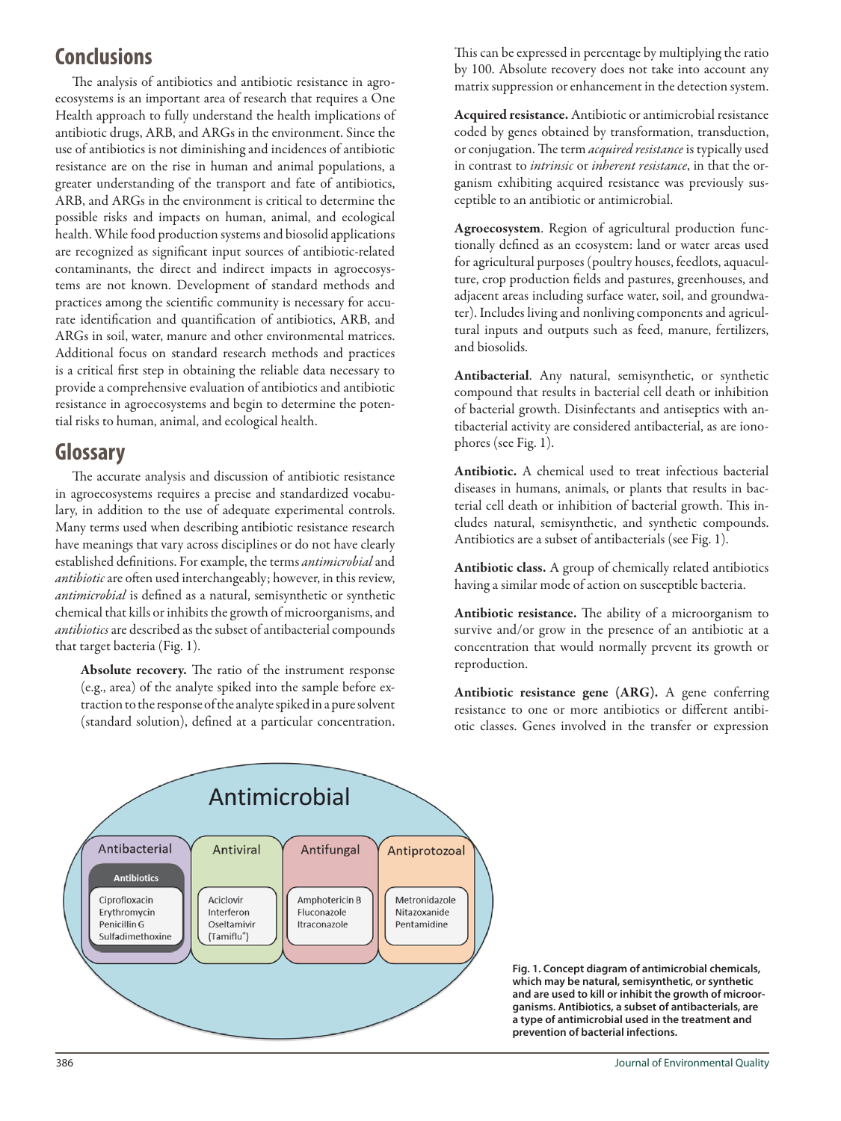## **Conclusions**

The analysis of antibiotics and antibiotic resistance in agroecosystems is an important area of research that requires a One Health approach to fully understand the health implications of antibiotic drugs, ARB, and ARGs in the environment. Since the use of antibiotics is not diminishing and incidences of antibiotic resistance are on the rise in human and animal populations, a greater understanding of the transport and fate of antibiotics, ARB, and ARGs in the environment is critical to determine the possible risks and impacts on human, animal, and ecological health. While food production systems and biosolid applications are recognized as significant input sources of antibiotic-related contaminants, the direct and indirect impacts in agroecosystems are not known. Development of standard methods and practices among the scientific community is necessary for accurate identification and quantification of antibiotics, ARB, and ARGs in soil, water, manure and other environmental matrices. Additional focus on standard research methods and practices is a critical first step in obtaining the reliable data necessary to provide a comprehensive evaluation of antibiotics and antibiotic resistance in agroecosystems and begin to determine the potential risks to human, animal, and ecological health.

### **Glossary**

The accurate analysis and discussion of antibiotic resistance in agroecosystems requires a precise and standardized vocabulary, in addition to the use of adequate experimental controls. Many terms used when describing antibiotic resistance research have meanings that vary across disciplines or do not have clearly established definitions. For example, the terms *antimicrobial* and *antibiotic* are often used interchangeably; however, in this review, *antimicrobial* is defined as a natural, semisynthetic or synthetic chemical that kills or inhibits the growth of microorganisms, and *antibiotics* are described as the subset of antibacterial compounds that target bacteria (Fig. 1).

Absolute recovery. The ratio of the instrument response (e.g., area) of the analyte spiked into the sample before extraction to the response of the analyte spiked in a pure solvent (standard solution), defined at a particular concentration. This can be expressed in percentage by multiplying the ratio by 100. Absolute recovery does not take into account any matrix suppression or enhancement in the detection system.

Acquired resistance. Antibiotic or antimicrobial resistance coded by genes obtained by transformation, transduction, or conjugation. The term *acquired resistance* is typically used in contrast to *intrinsic* or *inherent resistance*, in that the organism exhibiting acquired resistance was previously susceptible to an antibiotic or antimicrobial.

Agroecosystem. Region of agricultural production functionally defined as an ecosystem: land or water areas used for agricultural purposes (poultry houses, feedlots, aquaculture, crop production fields and pastures, greenhouses, and adjacent areas including surface water, soil, and groundwater). Includes living and nonliving components and agricultural inputs and outputs such as feed, manure, fertilizers, and biosolids.

Antibacterial. Any natural, semisynthetic, or synthetic compound that results in bacterial cell death or inhibition of bacterial growth. Disinfectants and antiseptics with antibacterial activity are considered antibacterial, as are ionophores (see Fig. 1).

Antibiotic. A chemical used to treat infectious bacterial diseases in humans, animals, or plants that results in bacterial cell death or inhibition of bacterial growth. This includes natural, semisynthetic, and synthetic compounds. Antibiotics are a subset of antibacterials (see Fig. 1).

Antibiotic class. A group of chemically related antibiotics having a similar mode of action on susceptible bacteria.

Antibiotic resistance. The ability of a microorganism to survive and/or grow in the presence of an antibiotic at a concentration that would normally prevent its growth or reproduction.

Antibiotic resistance gene (ARG). A gene conferring resistance to one or more antibiotics or different antibiotic classes. Genes involved in the transfer or expression



**Fig. 1. Concept diagram of antimicrobial chemicals, which may be natural, semisynthetic, or synthetic and are used to kill or inhibit the growth of microorganisms. Antibiotics, a subset of antibacterials, are a type of antimicrobial used in the treatment and prevention of bacterial infections.**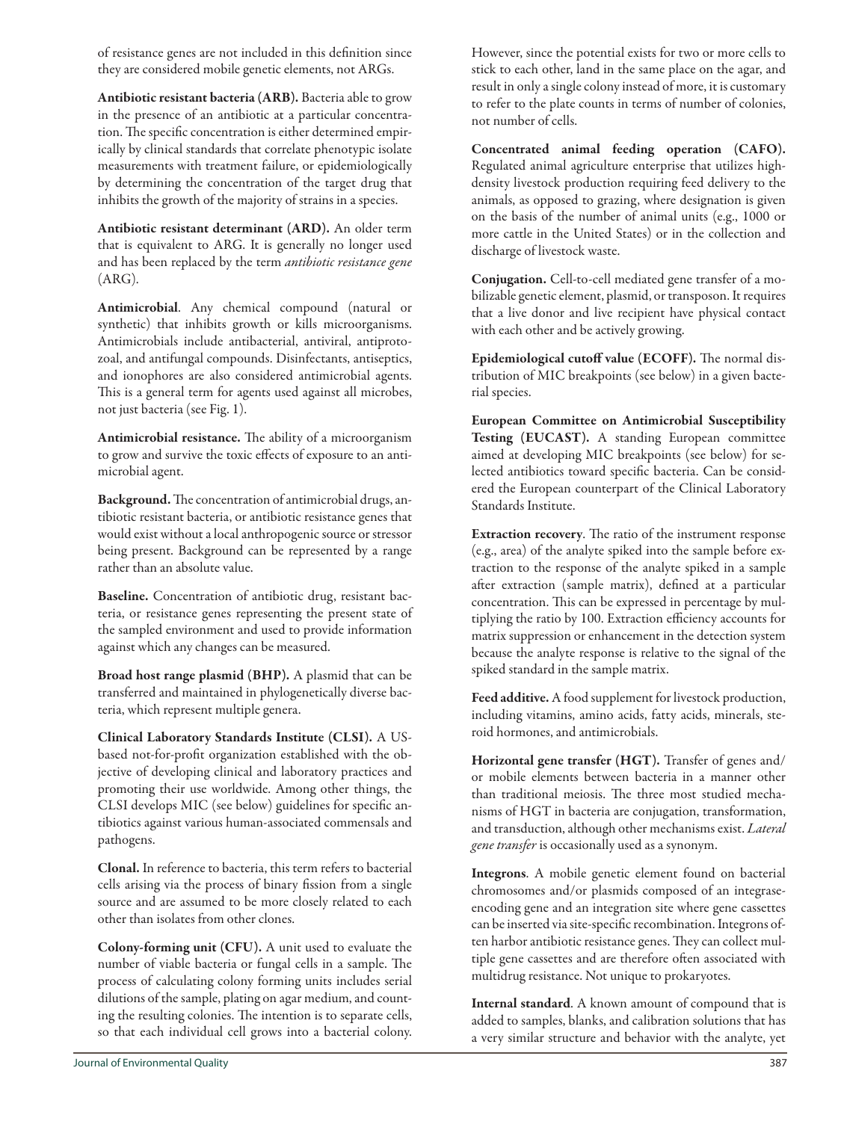of resistance genes are not included in this definition since they are considered mobile genetic elements, not ARGs.

Antibiotic resistant bacteria (ARB). Bacteria able to grow in the presence of an antibiotic at a particular concentration. The specific concentration is either determined empirically by clinical standards that correlate phenotypic isolate measurements with treatment failure, or epidemiologically by determining the concentration of the target drug that inhibits the growth of the majority of strains in a species.

Antibiotic resistant determinant (ARD). An older term that is equivalent to ARG. It is generally no longer used and has been replaced by the term *antibiotic resistance gene* (ARG).

Antimicrobial. Any chemical compound (natural or synthetic) that inhibits growth or kills microorganisms. Antimicrobials include antibacterial, antiviral, antiprotozoal, and antifungal compounds. Disinfectants, antiseptics, and ionophores are also considered antimicrobial agents. This is a general term for agents used against all microbes, not just bacteria (see Fig. 1).

Antimicrobial resistance. The ability of a microorganism to grow and survive the toxic effects of exposure to an antimicrobial agent.

Background. The concentration of antimicrobial drugs, antibiotic resistant bacteria, or antibiotic resistance genes that would exist without a local anthropogenic source or stressor being present. Background can be represented by a range rather than an absolute value.

Baseline. Concentration of antibiotic drug, resistant bacteria, or resistance genes representing the present state of the sampled environment and used to provide information against which any changes can be measured.

Broad host range plasmid (BHP). A plasmid that can be transferred and maintained in phylogenetically diverse bacteria, which represent multiple genera.

Clinical Laboratory Standards Institute (CLSI). A USbased not-for-profit organization established with the objective of developing clinical and laboratory practices and promoting their use worldwide. Among other things, the CLSI develops MIC (see below) guidelines for specific antibiotics against various human-associated commensals and pathogens.

Clonal. In reference to bacteria, this term refers to bacterial cells arising via the process of binary fission from a single source and are assumed to be more closely related to each other than isolates from other clones.

Colony-forming unit (CFU). A unit used to evaluate the number of viable bacteria or fungal cells in a sample. The process of calculating colony forming units includes serial dilutions of the sample, plating on agar medium, and counting the resulting colonies. The intention is to separate cells, so that each individual cell grows into a bacterial colony.

However, since the potential exists for two or more cells to stick to each other, land in the same place on the agar, and result in only a single colony instead of more, it is customary to refer to the plate counts in terms of number of colonies, not number of cells.

Concentrated animal feeding operation (CAFO). Regulated animal agriculture enterprise that utilizes highdensity livestock production requiring feed delivery to the animals, as opposed to grazing, where designation is given on the basis of the number of animal units (e.g., 1000 or more cattle in the United States) or in the collection and discharge of livestock waste.

Conjugation. Cell-to-cell mediated gene transfer of a mobilizable genetic element, plasmid, or transposon. It requires that a live donor and live recipient have physical contact with each other and be actively growing.

Epidemiological cutoff value (ECOFF). The normal distribution of MIC breakpoints (see below) in a given bacterial species.

European Committee on Antimicrobial Susceptibility Testing (EUCAST). A standing European committee aimed at developing MIC breakpoints (see below) for selected antibiotics toward specific bacteria. Can be considered the European counterpart of the Clinical Laboratory Standards Institute.

Extraction recovery. The ratio of the instrument response (e.g., area) of the analyte spiked into the sample before extraction to the response of the analyte spiked in a sample after extraction (sample matrix), defined at a particular concentration. This can be expressed in percentage by multiplying the ratio by 100. Extraction efficiency accounts for matrix suppression or enhancement in the detection system because the analyte response is relative to the signal of the spiked standard in the sample matrix.

Feed additive. A food supplement for livestock production, including vitamins, amino acids, fatty acids, minerals, steroid hormones, and antimicrobials.

Horizontal gene transfer (HGT). Transfer of genes and/ or mobile elements between bacteria in a manner other than traditional meiosis. The three most studied mechanisms of HGT in bacteria are conjugation, transformation, and transduction, although other mechanisms exist. *Lateral gene transfer* is occasionally used as a synonym.

Integrons. A mobile genetic element found on bacterial chromosomes and/or plasmids composed of an integraseencoding gene and an integration site where gene cassettes can be inserted via site-specific recombination. Integrons often harbor antibiotic resistance genes. They can collect multiple gene cassettes and are therefore often associated with multidrug resistance. Not unique to prokaryotes.

Internal standard. A known amount of compound that is added to samples, blanks, and calibration solutions that has a very similar structure and behavior with the analyte, yet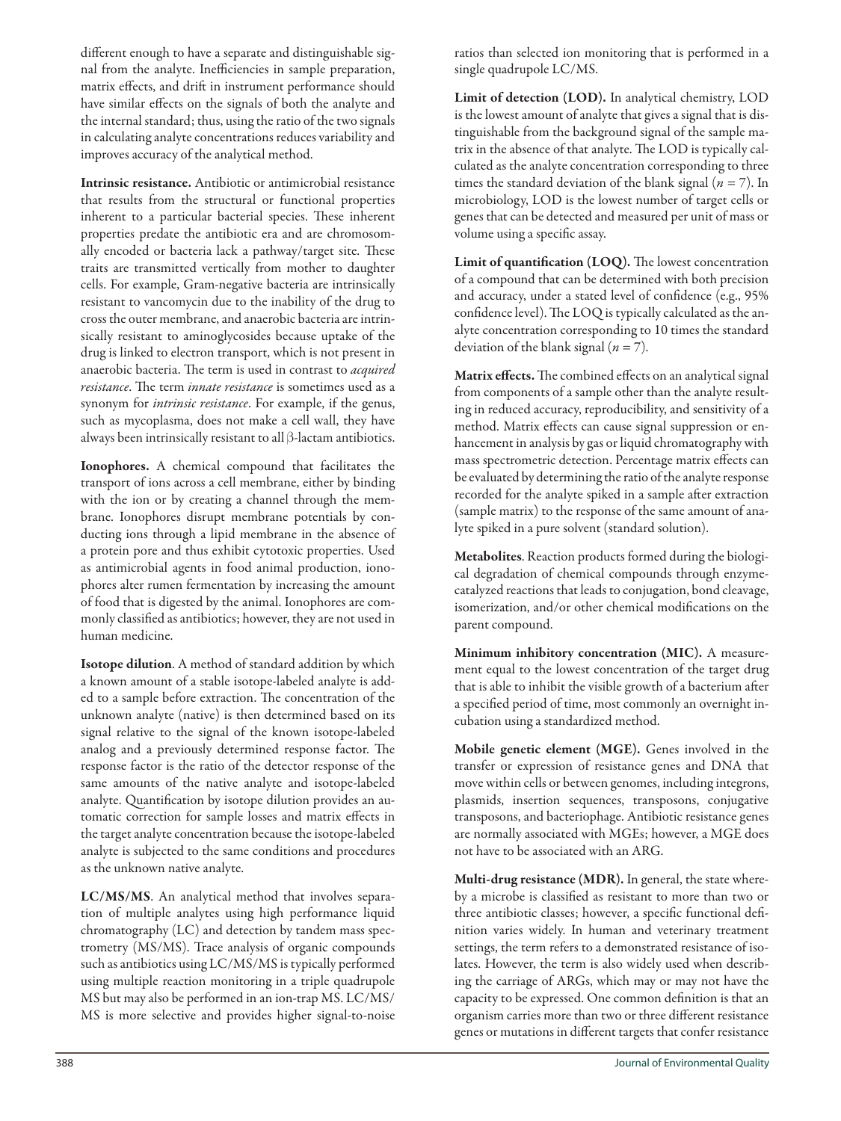different enough to have a separate and distinguishable signal from the analyte. Inefficiencies in sample preparation, matrix effects, and drift in instrument performance should have similar effects on the signals of both the analyte and the internal standard; thus, using the ratio of the two signals in calculating analyte concentrations reduces variability and improves accuracy of the analytical method.

Intrinsic resistance. Antibiotic or antimicrobial resistance that results from the structural or functional properties inherent to a particular bacterial species. These inherent properties predate the antibiotic era and are chromosomally encoded or bacteria lack a pathway/target site. These traits are transmitted vertically from mother to daughter cells. For example, Gram-negative bacteria are intrinsically resistant to vancomycin due to the inability of the drug to cross the outer membrane, and anaerobic bacteria are intrinsically resistant to aminoglycosides because uptake of the drug is linked to electron transport, which is not present in anaerobic bacteria. The term is used in contrast to *acquired resistance*. The term *innate resistance* is sometimes used as a synonym for *intrinsic resistance*. For example, if the genus, such as mycoplasma, does not make a cell wall, they have always been intrinsically resistant to all  $\beta$ -lactam antibiotics.

Ionophores. A chemical compound that facilitates the transport of ions across a cell membrane, either by binding with the ion or by creating a channel through the membrane. Ionophores disrupt membrane potentials by conducting ions through a lipid membrane in the absence of a protein pore and thus exhibit cytotoxic properties. Used as antimicrobial agents in food animal production, ionophores alter rumen fermentation by increasing the amount of food that is digested by the animal. Ionophores are commonly classified as antibiotics; however, they are not used in human medicine.

**Isotope dilution.** A method of standard addition by which a known amount of a stable isotope-labeled analyte is added to a sample before extraction. The concentration of the unknown analyte (native) is then determined based on its signal relative to the signal of the known isotope-labeled analog and a previously determined response factor. The response factor is the ratio of the detector response of the same amounts of the native analyte and isotope-labeled analyte. Quantification by isotope dilution provides an automatic correction for sample losses and matrix effects in the target analyte concentration because the isotope-labeled analyte is subjected to the same conditions and procedures as the unknown native analyte.

LC/MS/MS. An analytical method that involves separation of multiple analytes using high performance liquid chromatography (LC) and detection by tandem mass spectrometry (MS/MS). Trace analysis of organic compounds such as antibiotics using LC/MS/MS is typically performed using multiple reaction monitoring in a triple quadrupole MS but may also be performed in an ion-trap MS. LC/MS/ MS is more selective and provides higher signal-to-noise

ratios than selected ion monitoring that is performed in a single quadrupole LC/MS.

Limit of detection (LOD). In analytical chemistry, LOD is the lowest amount of analyte that gives a signal that is distinguishable from the background signal of the sample matrix in the absence of that analyte. The LOD is typically calculated as the analyte concentration corresponding to three times the standard deviation of the blank signal (*n* = 7). In microbiology, LOD is the lowest number of target cells or genes that can be detected and measured per unit of mass or volume using a specific assay.

Limit of quantification (LOQ). The lowest concentration of a compound that can be determined with both precision and accuracy, under a stated level of confidence (e.g., 95% confidence level). The LOQ is typically calculated as the analyte concentration corresponding to 10 times the standard deviation of the blank signal  $(n = 7)$ .

Matrix effects. The combined effects on an analytical signal from components of a sample other than the analyte resulting in reduced accuracy, reproducibility, and sensitivity of a method. Matrix effects can cause signal suppression or enhancement in analysis by gas or liquid chromatography with mass spectrometric detection. Percentage matrix effects can be evaluated by determining the ratio of the analyte response recorded for the analyte spiked in a sample after extraction (sample matrix) to the response of the same amount of analyte spiked in a pure solvent (standard solution).

Metabolites. Reaction products formed during the biological degradation of chemical compounds through enzymecatalyzed reactions that leads to conjugation, bond cleavage, isomerization, and/or other chemical modifications on the parent compound.

Minimum inhibitory concentration (MIC). A measurement equal to the lowest concentration of the target drug that is able to inhibit the visible growth of a bacterium after a specified period of time, most commonly an overnight incubation using a standardized method.

Mobile genetic element (MGE). Genes involved in the transfer or expression of resistance genes and DNA that move within cells or between genomes, including integrons, plasmids, insertion sequences, transposons, conjugative transposons, and bacteriophage. Antibiotic resistance genes are normally associated with MGEs; however, a MGE does not have to be associated with an ARG.

Multi-drug resistance (MDR). In general, the state whereby a microbe is classified as resistant to more than two or three antibiotic classes; however, a specific functional definition varies widely. In human and veterinary treatment settings, the term refers to a demonstrated resistance of isolates. However, the term is also widely used when describing the carriage of ARGs, which may or may not have the capacity to be expressed. One common definition is that an organism carries more than two or three different resistance genes or mutations in different targets that confer resistance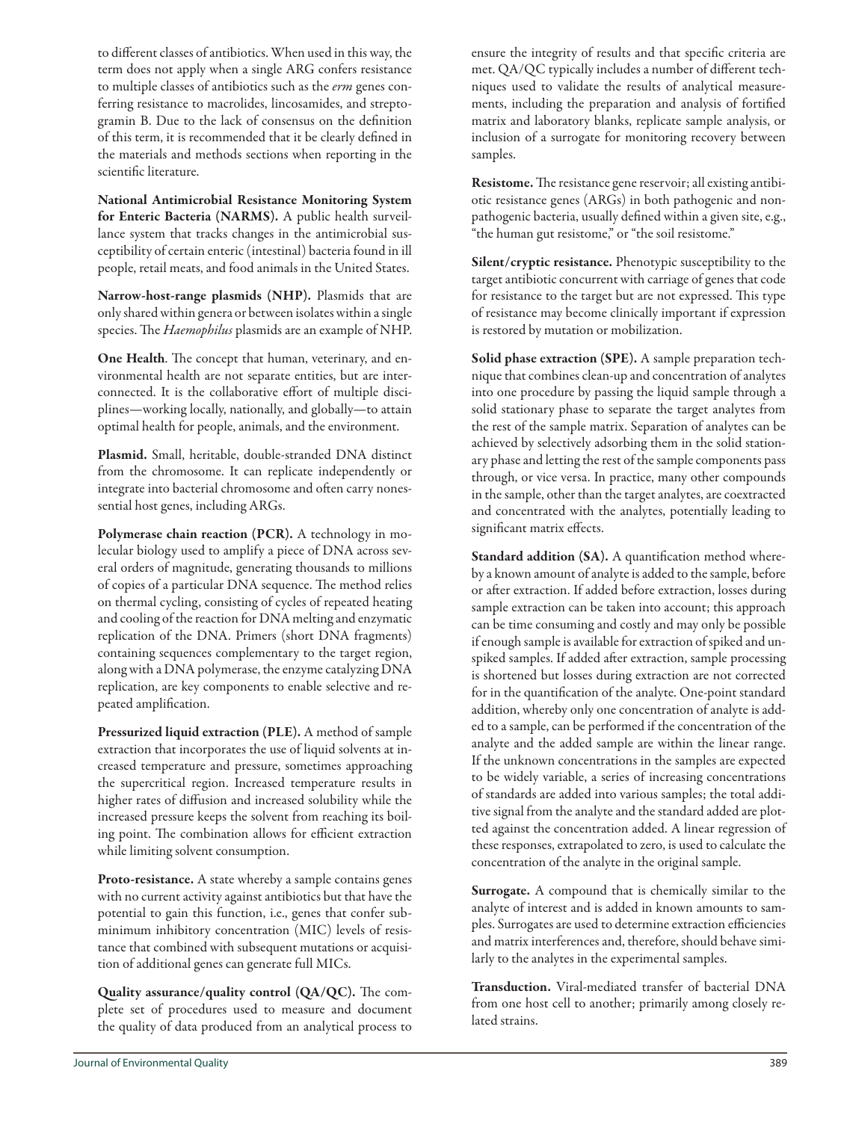to different classes of antibiotics. When used in this way, the term does not apply when a single ARG confers resistance to multiple classes of antibiotics such as the *erm* genes conferring resistance to macrolides, lincosamides, and streptogramin B. Due to the lack of consensus on the definition of this term, it is recommended that it be clearly defined in the materials and methods sections when reporting in the scientific literature.

National Antimicrobial Resistance Monitoring System for Enteric Bacteria (NARMS). A public health surveillance system that tracks changes in the antimicrobial susceptibility of certain enteric (intestinal) bacteria found in ill people, retail meats, and food animals in the United States.

Narrow-host-range plasmids (NHP). Plasmids that are only shared within genera or between isolates within a single species. The *Haemophilus* plasmids are an example of NHP.

One Health. The concept that human, veterinary, and environmental health are not separate entities, but are interconnected. It is the collaborative effort of multiple disciplines—working locally, nationally, and globally—to attain optimal health for people, animals, and the environment.

Plasmid. Small, heritable, double-stranded DNA distinct from the chromosome. It can replicate independently or integrate into bacterial chromosome and often carry nonessential host genes, including ARGs.

Polymerase chain reaction (PCR). A technology in molecular biology used to amplify a piece of DNA across several orders of magnitude, generating thousands to millions of copies of a particular DNA sequence. The method relies on thermal cycling, consisting of cycles of repeated heating and cooling of the reaction for DNA melting and enzymatic replication of the DNA. Primers (short DNA fragments) containing sequences complementary to the target region, along with a DNA polymerase, the enzyme catalyzing DNA replication, are key components to enable selective and repeated amplification.

Pressurized liquid extraction (PLE). A method of sample extraction that incorporates the use of liquid solvents at increased temperature and pressure, sometimes approaching the supercritical region. Increased temperature results in higher rates of diffusion and increased solubility while the increased pressure keeps the solvent from reaching its boiling point. The combination allows for efficient extraction while limiting solvent consumption.

Proto-resistance. A state whereby a sample contains genes with no current activity against antibiotics but that have the potential to gain this function, i.e., genes that confer subminimum inhibitory concentration (MIC) levels of resistance that combined with subsequent mutations or acquisition of additional genes can generate full MICs.

Quality assurance/quality control (QA/QC). The complete set of procedures used to measure and document the quality of data produced from an analytical process to

ensure the integrity of results and that specific criteria are met. QA/QC typically includes a number of different techniques used to validate the results of analytical measurements, including the preparation and analysis of fortified matrix and laboratory blanks, replicate sample analysis, or inclusion of a surrogate for monitoring recovery between samples.

Resistome. The resistance gene reservoir; all existing antibiotic resistance genes (ARGs) in both pathogenic and nonpathogenic bacteria, usually defined within a given site, e.g., "the human gut resistome," or "the soil resistome."

Silent/cryptic resistance. Phenotypic susceptibility to the target antibiotic concurrent with carriage of genes that code for resistance to the target but are not expressed. This type of resistance may become clinically important if expression is restored by mutation or mobilization.

Solid phase extraction (SPE). A sample preparation technique that combines clean-up and concentration of analytes into one procedure by passing the liquid sample through a solid stationary phase to separate the target analytes from the rest of the sample matrix. Separation of analytes can be achieved by selectively adsorbing them in the solid stationary phase and letting the rest of the sample components pass through, or vice versa. In practice, many other compounds in the sample, other than the target analytes, are coextracted and concentrated with the analytes, potentially leading to significant matrix effects.

Standard addition (SA). A quantification method whereby a known amount of analyte is added to the sample, before or after extraction. If added before extraction, losses during sample extraction can be taken into account; this approach can be time consuming and costly and may only be possible if enough sample is available for extraction of spiked and unspiked samples. If added after extraction, sample processing is shortened but losses during extraction are not corrected for in the quantification of the analyte. One-point standard addition, whereby only one concentration of analyte is added to a sample, can be performed if the concentration of the analyte and the added sample are within the linear range. If the unknown concentrations in the samples are expected to be widely variable, a series of increasing concentrations of standards are added into various samples; the total additive signal from the analyte and the standard added are plotted against the concentration added. A linear regression of these responses, extrapolated to zero, is used to calculate the concentration of the analyte in the original sample.

Surrogate. A compound that is chemically similar to the analyte of interest and is added in known amounts to samples. Surrogates are used to determine extraction efficiencies and matrix interferences and, therefore, should behave similarly to the analytes in the experimental samples.

Transduction. Viral-mediated transfer of bacterial DNA from one host cell to another; primarily among closely related strains.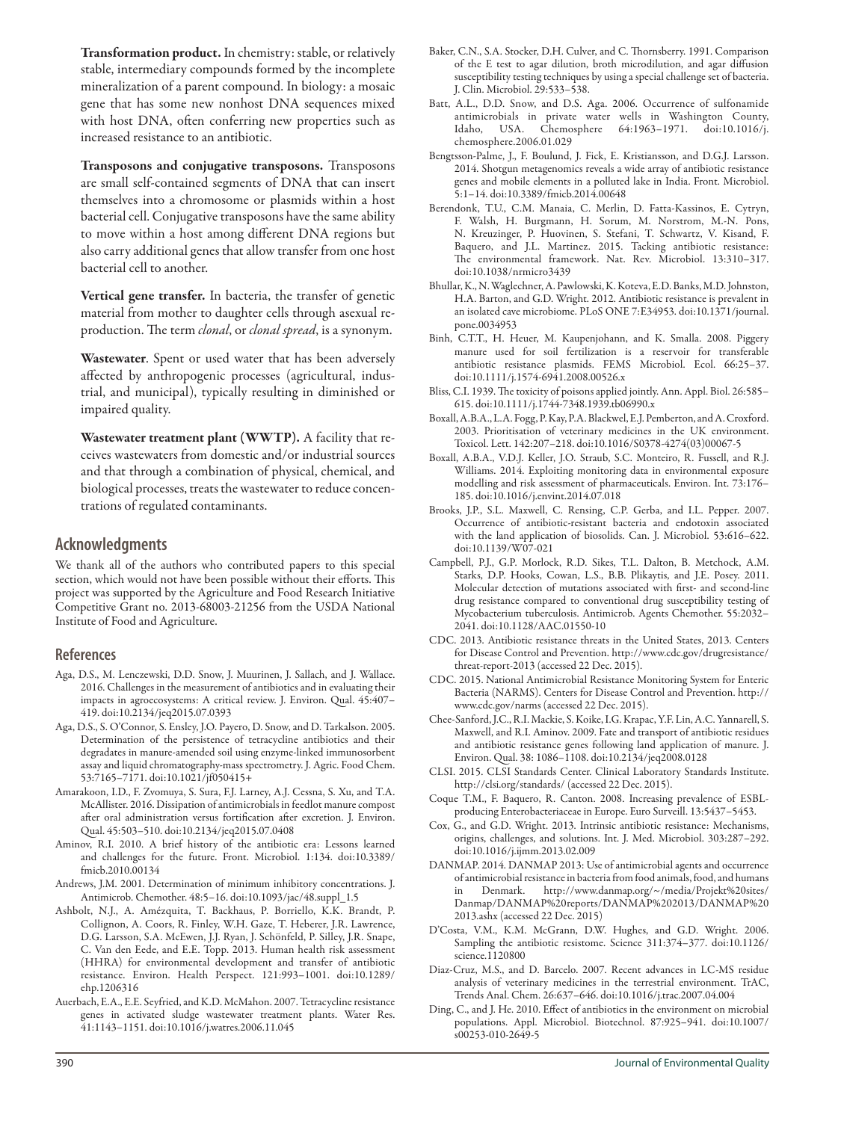Transformation product. In chemistry: stable, or relatively stable, intermediary compounds formed by the incomplete mineralization of a parent compound. In biology: a mosaic gene that has some new nonhost DNA sequences mixed with host DNA, often conferring new properties such as increased resistance to an antibiotic.

Transposons and conjugative transposons. Transposons are small self-contained segments of DNA that can insert themselves into a chromosome or plasmids within a host bacterial cell. Conjugative transposons have the same ability to move within a host among different DNA regions but also carry additional genes that allow transfer from one host bacterial cell to another.

Vertical gene transfer. In bacteria, the transfer of genetic material from mother to daughter cells through asexual reproduction. The term *clonal*, or *clonal spread*, is a synonym.

Wastewater. Spent or used water that has been adversely affected by anthropogenic processes (agricultural, industrial, and municipal), typically resulting in diminished or impaired quality.

Wastewater treatment plant (WWTP). A facility that receives wastewaters from domestic and/or industrial sources and that through a combination of physical, chemical, and biological processes, treats the wastewater to reduce concentrations of regulated contaminants.

#### **Acknowledgments**

We thank all of the authors who contributed papers to this special section, which would not have been possible without their efforts. This project was supported by the Agriculture and Food Research Initiative Competitive Grant no. 2013-68003-21256 from the USDA National Institute of Food and Agriculture.

#### **References**

- Aga, D.S., M. Lenczewski, D.D. Snow, J. Muurinen, J. Sallach, and J. Wallace. 2016. Challenges in the measurement of antibiotics and in evaluating their impacts in agroecosystems: A critical review. J. Environ. Qual. 45:407– 419. doi:[10.2134/jeq2015.07.0393](http://dx.doi.org/10.2134/jeq2015.07.0393)
- Aga, D.S., S. O'Connor, S. Ensley, J.O. Payero, D. Snow, and D. Tarkalson. 2005. Determination of the persistence of tetracycline antibiotics and their degradates in manure-amended soil using enzyme-linked immunosorbent assay and liquid chromatography-mass spectrometry. J. Agric. Food Chem. 53:7165–7171. [doi:10.1021/jf050415+](http://dx.doi.org/10.1021/jf050415%2B)
- Amarakoon, I.D., F. Zvomuya, S. Sura, F.J. Larney, A.J. Cessna, S. Xu, and T.A. McAllister. 2016. Dissipation of antimicrobials in feedlot manure compost after oral administration versus fortification after excretion. J. Environ. Qual. 45:503–510. doi[:10.2134/jeq2015.07.0408](http://dx.doi.org/10.2134/jeq2015.07.0408)
- Aminov, R.I. 2010. A brief history of the antibiotic era: Lessons learned and challenges for the future. Front. Microbiol. 1:134. [doi:10.3389/](http://dx.doi.org/10.3389/fmicb.2010.00134) [fmicb.2010.00134](http://dx.doi.org/10.3389/fmicb.2010.00134)
- Andrews, J.M. 2001. Determination of minimum inhibitory concentrations. J. Antimicrob. Chemother. 48:5–16. [doi:10.1093/jac/48.suppl\\_1.5](http://dx.doi.org/10.1093/jac/48.suppl_1.5)
- Ashbolt, N.J., A. Amézquita, T. Backhaus, P. Borriello, K.K. Brandt, P. Collignon, A. Coors, R. Finley, W.H. Gaze, T. Heberer, J.R. Lawrence, D.G. Larsson, S.A. McEwen, J.J. Ryan, J. Schönfeld, P. Silley, J.R. Snape, C. Van den Eede, and E.E. Topp. 2013. Human health risk assessment (HHRA) for environmental development and transfer of antibiotic resistance. Environ. Health Perspect. 121:993–1001. doi:10.1289/ ehp.1206316
- Auerbach, E.A., E.E. Seyfried, and K.D. McMahon. 2007. Tetracycline resistance genes in activated sludge wastewater treatment plants. Water Res. 41:1143–1151. [doi:10.1016/j.watres.2006.11.045](http://dx.doi.org/10.1016/j.watres.2006.11.045)
- Baker, C.N., S.A. Stocker, D.H. Culver, and C. Thornsberry. 1991. Comparison of the E test to agar dilution, broth microdilution, and agar diffusion susceptibility testing techniques by using a special challenge set of bacteria. J. Clin. Microbiol. 29:533–538.
- Batt, A.L., D.D. Snow, and D.S. Aga. 2006. Occurrence of sulfonamide antimicrobials in private water wells in Washington County, Idaho, USA. Chemosphere 64:1963–1971. [doi:10.1016/j.](http://dx.doi.org/10.1016/j.chemosphere.2006.01.029) [chemosphere.2006.01.029](http://dx.doi.org/10.1016/j.chemosphere.2006.01.029)
- Bengtsson-Palme, J., F. Boulund, J. Fick, E. Kristiansson, and D.G.J. Larsson. 2014. Shotgun metagenomics reveals a wide array of antibiotic resistance genes and mobile elements in a polluted lake in India. Front. Microbiol. 5:1–14. [doi:10.3389/fmicb.2014.00648](http://dx.doi.org/10.3389/fmicb.2014.00648)
- Berendonk, T.U., C.M. Manaia, C. Merlin, D. Fatta-Kassinos, E. Cytryn, F. Walsh, H. Burgmann, H. Sorum, M. Norstrom, M.-N. Pons, N. Kreuzinger, P. Huovinen, S. Stefani, T. Schwartz, V. Kisand, F. Baquero, and J.L. Martinez. 2015. Tacking antibiotic resistance: The environmental framework. Nat. Rev. Microbiol. 13:310–317. [doi:10.1038/nrmicro3439](http://dx.doi.org/10.1038/nrmicro3439)
- Bhullar, K., N. Waglechner, A. Pawlowski, K. Koteva, E.D. Banks, M.D. Johnston, H.A. Barton, and G.D. Wright. 2012. Antibiotic resistance is prevalent in an isolated cave microbiome. PLoS ONE 7:E34953. [doi:10.1371/journal.](http://dx.doi.org/10.1371/journal.pone.0034953) [pone.0034953](http://dx.doi.org/10.1371/journal.pone.0034953)
- Binh, C.T.T., H. Heuer, M. Kaupenjohann, and K. Smalla. 2008. Piggery manure used for soil fertilization is a reservoir for transferable antibiotic resistance plasmids. FEMS Microbiol. Ecol. 66:25–37. [doi:10.1111/j.1574-6941.2008.00526.x](http://dx.doi.org/10.1111/j.1574-6941.2008.00526.x)
- Bliss, C.I. 1939. The toxicity of poisons applied jointly. Ann. Appl. Biol. 26:585– 615. [doi:10.1111/j.1744-7348.1939.tb06990.x](http://dx.doi.org/10.1111/j.1744-7348.1939.tb06990.x)
- Boxall, A.B.A., L.A. Fogg, P. Kay, P.A. Blackwel, E.J. Pemberton, and A. Croxford. 2003. Prioritisation of veterinary medicines in the UK environment. Toxicol. Lett. 142:207–218. [doi:10.1016/S0378-4274\(03\)00067-5](http://dx.doi.org/10.1016/S0378-4274(03)00067-5)
- Boxall, A.B.A., V.D.J. Keller, J.O. Straub, S.C. Monteiro, R. Fussell, and R.J. Williams. 2014. Exploiting monitoring data in environmental exposure modelling and risk assessment of pharmaceuticals. Environ. Int. 73:176– 185. [doi:10.1016/j.envint.2014.07.018](http://dx.doi.org/10.1016/j.envint.2014.07.018)
- Brooks, J.P., S.L. Maxwell, C. Rensing, C.P. Gerba, and I.L. Pepper. 2007. Occurrence of antibiotic-resistant bacteria and endotoxin associated with the land application of biosolids. Can. J. Microbiol. 53:616–622. [doi:10.1139/W07-021](http://dx.doi.org/10.1139/W07-021)
- Campbell, P.J., G.P. Morlock, R.D. Sikes, T.L. Dalton, B. Metchock, A.M. Starks, D.P. Hooks, Cowan, L.S., B.B. Plikaytis, and J.E. Posey. 2011. Molecular detection of mutations associated with first- and second-line drug resistance compared to conventional drug susceptibility testing of Mycobacterium tuberculosis. Antimicrob. Agents Chemother. 55:2032– 2041. [doi:10.1128/AAC.01550-10](http://dx.doi.org/10.1128/AAC.01550-10)
- CDC. 2013. Antibiotic resistance threats in the United States, 2013. Centers for Disease Control and Prevention. [http://www.cdc.gov/drugresistance/](http://www.cdc.gov/drugresistance/threat-report-2013) [threat-report-2013](http://www.cdc.gov/drugresistance/threat-report-2013) (accessed 22 Dec. 2015).
- CDC. 2015. National Antimicrobial Resistance Monitoring System for Enteric Bacteria (NARMS). Centers for Disease Control and Prevention. [http://](http://www.cdc.gov/narms) [www.cdc.gov/narms](http://www.cdc.gov/narms) (accessed 22 Dec. 2015).
- Chee-Sanford, J.C., R.I. Mackie, S. Koike, I.G. Krapac, Y.F. Lin, A.C. Yannarell, S. Maxwell, and R.I. Aminov. 2009. Fate and transport of antibiotic residues and antibiotic resistance genes following land application of manure. J. Environ. Qual. 38: 1086–1108. doi[:10.2134/jeq2008.0128](http://dx.doi.org/10.2134/jeq2008.0128)
- CLSI. 2015. CLSI Standards Center. Clinical Laboratory Standards Institute. <http://clsi.org/standards/> (accessed 22 Dec. 2015).
- Coque T.M., F. Baquero, R. Canton. 2008. Increasing prevalence of ESBLproducing Enterobacteriaceae in Europe. Euro Surveill. 13:5437–5453.
- Cox, G., and G.D. Wright. 2013. Intrinsic antibiotic resistance: Mechanisms, origins, challenges, and solutions. Int. J. Med. Microbiol. 303:287–292. [doi:10.1016/j.ijmm.2013.02.009](http://dx.doi.org/10.1016/j.ijmm.2013.02.009)
- DANMAP. 2014. DANMAP 2013: Use of antimicrobial agents and occurrence of antimicrobial resistance in bacteria from food animals, food, and humans in Denmark. [http://www.danmap.org/~/media/Projekt%20sites/](http://www.danmap.org/~/media/Projekt%20sites/Danmap/DANMAP%20reports/DANMAP%202013/DANMAP%202013.ashx) [Danmap/DANMAP%20reports/DANMAP%202013/DANMAP%20](http://www.danmap.org/~/media/Projekt%20sites/Danmap/DANMAP%20reports/DANMAP%202013/DANMAP%202013.ashx) [2013.ashx](http://www.danmap.org/~/media/Projekt%20sites/Danmap/DANMAP%20reports/DANMAP%202013/DANMAP%202013.ashx) (accessed 22 Dec. 2015)
- D'Costa, V.M., K.M. McGrann, D.W. Hughes, and G.D. Wright. 2006. Sampling the antibiotic resistome. Science 311:374–377. [doi:10.1126/](http://dx.doi.org/10.1126/science.1120800) [science.1120800](http://dx.doi.org/10.1126/science.1120800)
- Diaz-Cruz, M.S., and D. Barcelo. 2007. Recent advances in LC-MS residue analysis of veterinary medicines in the terrestrial environment. TrAC, Trends Anal. Chem. 26:637–646. [doi:10.1016/j.trac.2007.04.004](http://dx.doi.org/10.1016/j.trac.2007.04.004)
- Ding, C., and J. He. 2010. Effect of antibiotics in the environment on microbial populations. Appl. Microbiol. Biotechnol. 87:925–941. [doi:10.1007/](http://dx.doi.org/10.1007/s00253-010-2649-5)  $s00253-010-2649-5$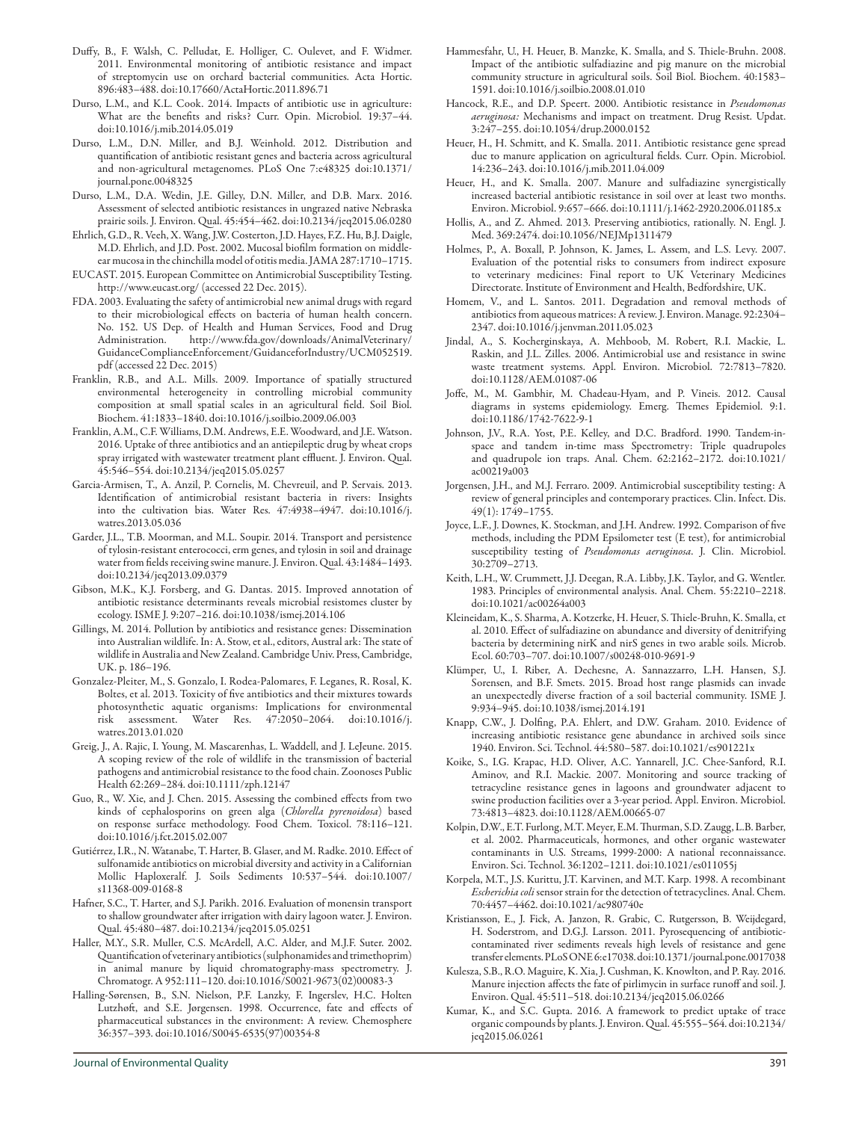- Duffy, B., F. Walsh, C. Pelludat, E. Holliger, C. Oulevet, and F. Widmer. 2011. Environmental monitoring of antibiotic resistance and impact of streptomycin use on orchard bacterial communities. Acta Hortic. 896:483–488. [doi:10.17660/ActaHortic.2011.896.71](http://dx.doi.org/10.17660/ActaHortic.2011.896.71)
- Durso, L.M., and K.L. Cook. 2014. Impacts of antibiotic use in agriculture: What are the benefits and risks? Curr. Opin. Microbiol. 19:37–44. [doi:10.1016/j.mib.2014.05.019](http://dx.doi.org/10.1016/j.mib.2014.05.019)
- Durso, L.M., D.N. Miller, and B.J. Weinhold. 2012. Distribution and quantification of antibiotic resistant genes and bacteria across agricultural and non-agricultural metagenomes. PLoS One 7:e48325 [doi:10.1371/](http://dx.doi.org/10.1371/journal.pone.0048325) [journal.pone.0048325](http://dx.doi.org/10.1371/journal.pone.0048325)
- Durso, L.M., D.A. Wedin, J.E. Gilley, D.N. Miller, and D.B. Marx. 2016. Assessment of selected antibiotic resistances in ungrazed native Nebraska prairie soils. J. Environ. Qual. 45:454–462. doi[:10.2134/jeq2015.06.0280](http://dx.doi.org/10.2134/jeq2015.06.0280)
- Ehrlich, G.D., R. Veeh, X. Wang, J.W. Costerton, J.D. Hayes, F.Z. Hu, B.J. Daigle, M.D. Ehrlich, and J.D. Post. 2002. Mucosal biofilm formation on middleear mucosa in the chinchilla model of otitis media. JAMA 287:1710–1715.
- EUCAST. 2015. European Committee on Antimicrobial Susceptibility Testing. <http://www.eucast.org/>(accessed 22 Dec. 2015).
- FDA. 2003. Evaluating the safety of antimicrobial new animal drugs with regard to their microbiological effects on bacteria of human health concern. No. 152. US Dep. of Health and Human Services, Food and Drug Administration. [http://www.fda.gov/downloads/AnimalVeterinary/](http://www.fda.gov/downloads/AnimalVeterinary/GuidanceComplianceEnforcement/GuidanceforIndustry/UCM052519.pdf) [GuidanceComplianceEnforcement/GuidanceforIndustry/UCM052519.](http://www.fda.gov/downloads/AnimalVeterinary/GuidanceComplianceEnforcement/GuidanceforIndustry/UCM052519.pdf) [pdf](http://www.fda.gov/downloads/AnimalVeterinary/GuidanceComplianceEnforcement/GuidanceforIndustry/UCM052519.pdf) (accessed 22 Dec. 2015)
- Franklin, R.B., and A.L. Mills. 2009. Importance of spatially structured environmental heterogeneity in controlling microbial community composition at small spatial scales in an agricultural field. Soil Biol. Biochem. 41:1833–1840. [doi:10.1016/j.soilbio.2009.06.003](http://dx.doi.org/10.1016/j.soilbio.2009.06.003)
- Franklin, A.M., C.F. Williams, D.M. Andrews, E.E. Woodward, and J.E. Watson. 2016. Uptake of three antibiotics and an antiepileptic drug by wheat crops spray irrigated with wastewater treatment plant effluent. J. Environ. Qual. 45:546–554. doi:[10.2134/jeq2015.05.0257](http://dx.doi.org/10.2134/jeq2015.05.0257
)
- Garcia-Armisen, T., A. Anzil, P. Cornelis, M. Chevreuil, and P. Servais. 2013. Identification of antimicrobial resistant bacteria in rivers: Insights into the cultivation bias. Water Res. 47:4938–4947. [doi:10.1016/j.](http://dx.doi.org/10.1016/j.watres.2013.05.036) [watres.2013.05.036](http://dx.doi.org/10.1016/j.watres.2013.05.036)
- Garder, J.L., T.B. Moorman, and M.L. Soupir. 2014. Transport and persistence of tylosin-resistant enterococci, erm genes, and tylosin in soil and drainage water from fields receiving swine manure. J. Environ. Qual. 43:1484–1493. [doi:10.2134/jeq2013.09.0379](http://dx.doi.org/10.2134/jeq2013.09.0379)
- Gibson, M.K., K.J. Forsberg, and G. Dantas. 2015. Improved annotation of antibiotic resistance determinants reveals microbial resistomes cluster by ecology. ISME J. 9:207–216. [doi:10.1038/ismej.2014.106](http://dx.doi.org/10.1038/ismej.2014.106)
- Gillings, M. 2014. Pollution by antibiotics and resistance genes: Dissemination into Australian wildlife. In: A. Stow, et al., editors, Austral ark: The state of wildlife in Australia and New Zealand. Cambridge Univ. Press, Cambridge, UK. p. 186–196.
- Gonzalez-Pleiter, M., S. Gonzalo, I. Rodea-Palomares, F. Leganes, R. Rosal, K. Boltes, et al. 2013. Toxicity of five antibiotics and their mixtures towards photosynthetic aquatic organisms: Implications for environmental risk assessment. Water Res. 47:2050–2064. [doi:10.1016/j.](http://dx.doi.org/10.1016/j.watres.2013.01.020) [watres.2013.01.020](http://dx.doi.org/10.1016/j.watres.2013.01.020)
- Greig, J., A. Rajic, I. Young, M. Mascarenhas, L. Waddell, and J. LeJeune. 2015. A scoping review of the role of wildlife in the transmission of bacterial pathogens and antimicrobial resistance to the food chain. Zoonoses Public Health 62:269–284. [doi:10.1111/zph.12147](http://dx.doi.org/10.1111/zph.12147)
- Guo, R., W. Xie, and J. Chen. 2015. Assessing the combined effects from two kinds of cephalosporins on green alga (*Chlorella pyrenoidosa*) based on response surface methodology. Food Chem. Toxicol. 78:116–121. [doi:10.1016/j.fct.2015.02.007](http://dx.doi.org/10.1016/j.fct.2015.02.007)
- Gutiérrez, I.R., N. Watanabe, T. Harter, B. Glaser, and M. Radke. 2010. Effect of sulfonamide antibiotics on microbial diversity and activity in a Californian Mollic Haploxeralf. J. Soils Sediments 10:537–544. [doi:10.1007/](http://dx.doi.org/10.1007/s11368-009-0168-8) [s11368-009-0168-8](http://dx.doi.org/10.1007/s11368-009-0168-8)
- Hafner, S.C., T. Harter, and S.J. Parikh. 2016. Evaluation of monensin transport to shallow groundwater after irrigation with dairy lagoon water. J. Environ. Qual. 45:480–487. doi[:10.2134/jeq2015.05.0251](http://dx.doi.org/10.2134/jeq2015.05.0251)
- Haller, M.Y., S.R. Muller, C.S. McArdell, A.C. Alder, and M.J.F. Suter. 2002. Quantification of veterinary antibiotics (sulphonamides and trimethoprim) in animal manure by liquid chromatography-mass spectrometry. J. Chromatogr. A 952:111–120. [doi:10.1016/S0021-9673\(02\)00083-3](http://dx.doi.org/10.1016/S0021-9673(02)00083-3)
- Halling-Sørensen, B., S.N. Nielson, P.F. Lanzky, F. Ingerslev, H.C. Holten Lutzhøft, and S.E. Jørgensen. 1998. Occurrence, fate and effects of pharmaceutical substances in the environment: A review. Chemosphere 36:357–393. [doi:10.1016/S0045-6535\(97\)00354-8](http://dx.doi.org/10.1016/S0045-6535(97)00354-8)
- Hammesfahr, U., H. Heuer, B. Manzke, K. Smalla, and S. Thiele-Bruhn. 2008. Impact of the antibiotic sulfadiazine and pig manure on the microbial community structure in agricultural soils. Soil Biol. Biochem. 40:1583– 1591. [doi:10.1016/j.soilbio.2008.01.010](http://dx.doi.org/10.1016/j.soilbio.2008.01.010)
- Hancock, R.E., and D.P. Speert. 2000. Antibiotic resistance in *Pseudomonas aeruginosa:* Mechanisms and impact on treatment. Drug Resist. Updat. 3:247–255. [doi:10.1054/drup.2000.0152](http://dx.doi.org/10.1054/drup.2000.0152)
- Heuer, H., H. Schmitt, and K. Smalla. 2011. Antibiotic resistance gene spread due to manure application on agricultural fields. Curr. Opin. Microbiol. 14:236–243. [doi:10.1016/j.mib.2011.04.009](http://dx.doi.org/10.1016/j.mib.2011.04.009)
- Heuer, H., and K. Smalla. 2007. Manure and sulfadiazine synergistically increased bacterial antibiotic resistance in soil over at least two months. Environ. Microbiol. 9:657–666. [doi:10.1111/j.1462-2920.2006.01185.x](http://dx.doi.org/10.1111/j.1462-2920.2006.01185.x)
- Hollis, A., and Z. Ahmed. 2013. Preserving antibiotics, rationally. N. Engl. J. Med. 369:2474. [doi:10.1056/NEJMp1311479](http://dx.doi.org/10.1056/NEJMp1311479)
- Holmes, P., A. Boxall, P. Johnson, K. James, L. Assem, and L.S. Levy. 2007. Evaluation of the potential risks to consumers from indirect exposure to veterinary medicines: Final report to UK Veterinary Medicines Directorate. Institute of Environment and Health, Bedfordshire, UK.
- Homem, V., and L. Santos. 2011. Degradation and removal methods of antibiotics from aqueous matrices: A review. J. Environ. Manage. 92:2304– 2347. [doi:10.1016/j.jenvman.2011.05.023](http://dx.doi.org/10.1016/j.jenvman.2011.05.023)
- Jindal, A., S. Kocherginskaya, A. Mehboob, M. Robert, R.I. Mackie, L. Raskin, and J.L. Zilles. 2006. Antimicrobial use and resistance in swine waste treatment systems. Appl. Environ. Microbiol. 72:7813–7820. [doi:10.1128/AEM.01087-06](http://dx.doi.org/10.1128/AEM.01087-06)
- Joffe, M., M. Gambhir, M. Chadeau-Hyam, and P. Vineis. 2012. Causal diagrams in systems epidemiology. Emerg. Themes Epidemiol. 9:1. [doi:10.1186/1742-7622-9-1](http://dx.doi.org/10.1186/1742-7622-9-1)
- Johnson, J.V., R.A. Yost, P.E. Kelley, and D.C. Bradford. 1990. Tandem-inspace and tandem in-time mass Spectrometry: Triple quadrupoles and quadrupole ion traps. Anal. Chem. 62:2162–2172. [doi:10.1021/](http://dx.doi.org/10.1021/ac00219a003) [ac00219a003](http://dx.doi.org/10.1021/ac00219a003)
- Jorgensen, J.H., and M.J. Ferraro. 2009. Antimicrobial susceptibility testing: A review of general principles and contemporary practices. Clin. Infect. Dis. 49(1): 1749–1755.
- Joyce, L.F., J. Downes, K. Stockman, and J.H. Andrew. 1992. Comparison of five methods, including the PDM Epsilometer test (E test), for antimicrobial susceptibility testing of *Pseudomonas aeruginosa*. J. Clin. Microbiol. 30:2709–2713.
- Keith, L.H., W. Crummett, J.J. Deegan, R.A. Libby, J.K. Taylor, and G. Wentler. 1983. Principles of environmental analysis. Anal. Chem. 55:2210–2218. [doi:10.1021/ac00264a003](http://dx.doi.org/10.1021/ac00264a003)
- Kleineidam, K., S. Sharma, A. Kotzerke, H. Heuer, S. Thiele-Bruhn, K. Smalla, et al. 2010. Effect of sulfadiazine on abundance and diversity of denitrifying bacteria by determining nirK and nirS genes in two arable soils. Microb. Ecol. 60:703–707. [doi:10.1007/s00248-010-9691-9](http://dx.doi.org/10.1007/s00248-010-9691-9)
- Klümper, U., I. Riber, A. Dechesne, A. Sannazzarro, L.H. Hansen, S.J. Sorensen, and B.F. Smets. 2015. Broad host range plasmids can invade an unexpectedly diverse fraction of a soil bacterial community. ISME J. 9:934–945. [doi:10.1038/ismej.2014.191](http://dx.doi.org/10.1038/ismej.2014.191)
- Knapp, C.W., J. Dolfing, P.A. Ehlert, and D.W. Graham. 2010. Evidence of increasing antibiotic resistance gene abundance in archived soils since 1940. Environ. Sci. Technol. 44:580–587. [doi:10.1021/es901221x](http://dx.doi.org/10.1021/es901221x)
- Koike, S., I.G. Krapac, H.D. Oliver, A.C. Yannarell, J.C. Chee-Sanford, R.I. Aminov, and R.I. Mackie. 2007. Monitoring and source tracking of tetracycline resistance genes in lagoons and groundwater adjacent to swine production facilities over a 3-year period. Appl. Environ. Microbiol. 73:4813–4823. [doi:10.1128/AEM.00665-07](http://dx.doi.org/10.1128/AEM.00665-07)
- Kolpin, D.W., E.T. Furlong, M.T. Meyer, E.M. Thurman, S.D. Zaugg, L.B. Barber, et al. 2002. Pharmaceuticals, hormones, and other organic wastewater contaminants in U.S. Streams, 1999-2000: A national reconnaissance. Environ. Sci. Technol. 36:1202–1211. [doi:10.1021/es011055j](http://dx.doi.org/10.1021/es011055j)
- Korpela, M.T., J.S. Kurittu, J.T. Karvinen, and M.T. Karp. 1998. A recombinant *Escherichia coli* sensor strain for the detection of tetracyclines. Anal. Chem. 70:4457–4462. [doi:10.1021/ac980740e](http://dx.doi.org/10.1021/ac980740e)
- Kristiansson, E., J. Fick, A. Janzon, R. Grabic, C. Rutgersson, B. Weijdegard, H. Soderstrom, and D.G.J. Larsson. 2011. Pyrosequencing of antibioticcontaminated river sediments reveals high levels of resistance and gene transfer elements. PLoS ONE 6:e17038. [doi:10.1371/journal.pone.0017038](http://dx.doi.org/10.1371/journal.pone.0017038)
- Kulesza, S.B., R.O. Maguire, K. Xia, J. Cushman, K. Knowlton, and P. Ray. 2016. Manure injection affects the fate of pirlimycin in surface runoff and soil. J. Environ. Qual. 45:511–518. doi[:10.2134/jeq2015.06.0266](http://dx.doi.org/10.2134/jeq2015.06.0266)
- Kumar, K., and S.C. Gupta. 2016. A framework to predict uptake of trace organic compounds by plants. J. Environ. Qual. 45:555–564. doi:[10.2134/](http://dx.doi.org/10.2134/jeq2015.06.0261) [jeq2015.06.0261](http://dx.doi.org/10.2134/jeq2015.06.0261)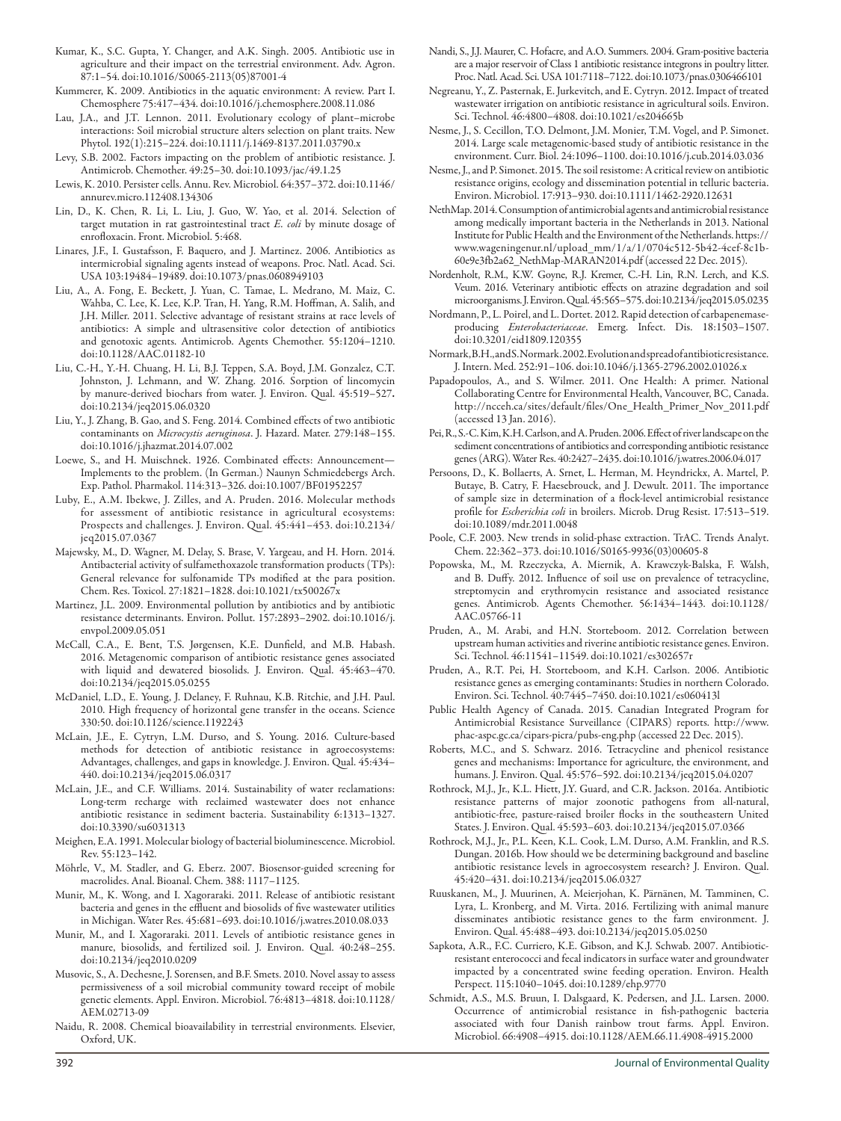- Kumar, K., S.C. Gupta, Y. Changer, and A.K. Singh. 2005. Antibiotic use in agriculture and their impact on the terrestrial environment. Adv. Agron. 87:1–54. [doi:10.1016/S0065-2113\(05\)87001-4](http://dx.doi.org/10.1016/S0065-2113(05)87001-4)
- Kummerer, K. 2009. Antibiotics in the aquatic environment: A review. Part I. Chemosphere 75:417–434. [doi:10.1016/j.chemosphere.2008.11.086](http://dx.doi.org/10.1016/j.chemosphere.2008.11.086)
- Lau, J.A., and J.T. Lennon. 2011. Evolutionary ecology of plant–microbe interactions: Soil microbial structure alters selection on plant traits. New Phytol. 192(1):215–224. [doi:10.1111/j.1469-8137.2011.03790.x](http://dx.doi.org/10.1111/j.1469-8137.2011.03790.x)
- Levy, S.B. 2002. Factors impacting on the problem of antibiotic resistance. J. Antimicrob. Chemother. 49:25–30. [doi:10.1093/jac/49.1.25](http://dx.doi.org/10.1093/jac/49.1.25)
- Lewis, K. 2010. Persister cells. Annu. Rev. Microbiol. 64:357–372. [doi:10.1146/](http://dx.doi.org/10.1146/annurev.micro.112408.134306) [annurev.micro.112408.134306](http://dx.doi.org/10.1146/annurev.micro.112408.134306)
- Lin, D., K. Chen, R. Li, L. Liu, J. Guo, W. Yao, et al. 2014. Selection of target mutation in rat gastrointestinal tract *E. coli* by minute dosage of enrofloxacin. Front. Microbiol. 5:468.
- Linares, J.F., I. Gustafsson, F. Baquero, and J. Martinez. 2006. Antibiotics as intermicrobial signaling agents instead of weapons. Proc. Natl. Acad. Sci. USA 103:19484–19489. [doi:10.1073/pnas.0608949103](http://dx.doi.org/10.1073/pnas.0608949103)
- Liu, A., A. Fong, E. Beckett, J. Yuan, C. Tamae, L. Medrano, M. Maiz, C. Wahba, C. Lee, K. Lee, K.P. Tran, H. Yang, R.M. Hoffman, A. Salih, and J.H. Miller. 2011. Selective advantage of resistant strains at race levels of antibiotics: A simple and ultrasensitive color detection of antibiotics and genotoxic agents. Antimicrob. Agents Chemother. 55:1204–1210. [doi:10.1128/AAC.01182-10](http://dx.doi.org/10.1128/AAC.01182-10)
- Liu, C.-H., Y.-H. Chuang, H. Li, B.J. Teppen, S.A. Boyd, J.M. Gonzalez, C.T. Johnston, J. Lehmann, and W. Zhang. 2016. Sorption of lincomycin by manure-derived biochars from water. J. Environ. Qual. 45:519–527. doi[:10.2134/jeq2015.06.0320](http://dx.doi.org/10.2134/jeq2015.06.0320)
- Liu, Y., J. Zhang, B. Gao, and S. Feng. 2014. Combined effects of two antibiotic contaminants on *Microcystis aeruginosa*. J. Hazard. Mater. 279:148–155. [doi:10.1016/j.jhazmat.2014.07.002](http://dx.doi.org/10.1016/j.jhazmat.2014.07.002)
- Loewe, S., and H. Muischnek. 1926. Combinated effects: Announcement— Implements to the problem. (In German.) Naunyn Schmiedebergs Arch. Exp. Pathol. Pharmakol. 114:313–326. [doi:10.1007/BF01952257](http://dx.doi.org/10.1007/BF01952257)
- Luby, E., A.M. Ibekwe, J. Zilles, and A. Pruden. 2016. Molecular methods for assessment of antibiotic resistance in agricultural ecosystems: Prospects and challenges. J. Environ. Qual. 45:441–453. doi:[10.2134/](http://dx.doi.org/10.2134/jeq2015.07.0367) [jeq2015.07.0367](http://dx.doi.org/10.2134/jeq2015.07.0367)
- Majewsky, M., D. Wagner, M. Delay, S. Brase, V. Yargeau, and H. Horn. 2014. Antibacterial activity of sulfamethoxazole transformation products (TPs): General relevance for sulfonamide TPs modified at the para position. Chem. Res. Toxicol. 27:1821–1828. [doi:10.1021/tx500267x](http://dx.doi.org/10.1021/tx500267x)
- Martinez, J.L. 2009. Environmental pollution by antibiotics and by antibiotic resistance determinants. Environ. Pollut. 157:2893–2902. [doi:10.1016/j.](http://dx.doi.org/10.1016/j.envpol.2009.05.051) [envpol.2009.05.051](http://dx.doi.org/10.1016/j.envpol.2009.05.051)
- McCall, C.A., E. Bent, T.S. Jørgensen, K.E. Dunfield, and M.B. Habash. 2016. Metagenomic comparison of antibiotic resistance genes associated with liquid and dewatered biosolids. J. Environ. Qual. 45:463–470. doi[:10.2134/jeq2015.05.0255](http://dx.doi.org/10.2134/jeq2015.05.0255)
- McDaniel, L.D., E. Young, J. Delaney, F. Ruhnau, K.B. Ritchie, and J.H. Paul. 2010. High frequency of horizontal gene transfer in the oceans. Science 330:50. [doi:10.1126/science.1192243](http://dx.doi.org/10.1126/science.1192243)
- McLain, J.E., E. Cytryn, L.M. Durso, and S. Young. 2016. Culture-based methods for detection of antibiotic resistance in agroecosystems: Advantages, challenges, and gaps in knowledge. J. Environ. Qual. 45:434– 440. doi:[10.2134/jeq2015.06.0317](http://dx.doi.org/10.2134/jeq2015.06.0317)
- McLain, J.E., and C.F. Williams. 2014. Sustainability of water reclamations: Long-term recharge with reclaimed wastewater does not enhance antibiotic resistance in sediment bacteria. Sustainability 6:1313–1327. [doi:10.3390/su6031313](http://dx.doi.org/10.3390/su6031313)
- Meighen, E.A. 1991. Molecular biology of bacterial bioluminescence. Microbiol. Rev. 55:123–142.
- Möhrle, V., M. Stadler, and G. Eberz. 2007. Biosensor-guided screening for macrolides. Anal. Bioanal. Chem. 388: 1117–1125.
- Munir, M., K. Wong, and I. Xagoraraki. 2011. Release of antibiotic resistant bacteria and genes in the effluent and biosolids of five wastewater utilities in Michigan. Water Res. 45:681–693. [doi:10.1016/j.watres.2010.08.033](http://dx.doi.org/10.1016/j.watres.2010.08.033)
- Munir, M., and I. Xagoraraki. 2011. Levels of antibiotic resistance genes in manure, biosolids, and fertilized soil. J. Environ. Qual. 40:248–255. [doi:10.2134/jeq2010.0209](http://dx.doi.org/10.2134/jeq2010.0209)
- Musovic, S., A. Dechesne, J. Sorensen, and B.F. Smets. 2010. Novel assay to assess permissiveness of a soil microbial community toward receipt of mobile genetic elements. Appl. Environ. Microbiol. 76:4813–4818. [doi:10.1128/](http://dx.doi.org/10.1128/AEM.02713-09) [AEM.02713-09](http://dx.doi.org/10.1128/AEM.02713-09)
- Naidu, R. 2008. Chemical bioavailability in terrestrial environments. Elsevier, Oxford, UK.
- Nandi, S., J.J. Maurer, C. Hofacre, and A.O. Summers. 2004. Gram-positive bacteria are a major reservoir of Class 1 antibiotic resistance integrons in poultry litter. Proc. Natl. Acad. Sci. USA 101:7118–7122. [doi:10.1073/pnas.0306466101](http://dx.doi.org/10.1073/pnas.0306466101)
- Negreanu, Y., Z. Pasternak, E. Jurkevitch, and E. Cytryn. 2012. Impact of treated wastewater irrigation on antibiotic resistance in agricultural soils. Environ. Sci. Technol. 46:4800–4808. [doi:10.1021/es204665b](http://dx.doi.org/10.1021/es204665b)
- Nesme, J., S. Cecillon, T.O. Delmont, J.M. Monier, T.M. Vogel, and P. Simonet. 2014. Large scale metagenomic-based study of antibiotic resistance in the environment. Curr. Biol. 24:1096–1100. [doi:10.1016/j.cub.2014.03.036](http://dx.doi.org/10.1016/j.cub.2014.03.036)
- Nesme, J., and P. Simonet. 2015. The soil resistome: A critical review on antibiotic resistance origins, ecology and dissemination potential in telluric bacteria. Environ. Microbiol. 17:913–930. [doi:10.1111/1462-2920.12631](http://dx.doi.org/10.1111/1462-2920.12631)
- NethMap. 2014. Consumption of antimicrobial agents and antimicrobial resistance among medically important bacteria in the Netherlands in 2013. National Institute for Public Health and the Environment of the Netherlands. [https://](https://www.wageningenur.nl/upload_mm/1/a/1/0704c512-5b42-4cef-8c1b-60e9e3fb2a62_NethMap-MARAN2014.pdf) [www.wageningenur.nl/upload\\_mm/1/a/1/0704c512-5b42-4cef-8c1b-](https://www.wageningenur.nl/upload_mm/1/a/1/0704c512-5b42-4cef-8c1b-60e9e3fb2a62_NethMap-MARAN2014.pdf)[60e9e3fb2a62\\_NethMap-MARAN2014.pdf](https://www.wageningenur.nl/upload_mm/1/a/1/0704c512-5b42-4cef-8c1b-60e9e3fb2a62_NethMap-MARAN2014.pdf) (accessed 22 Dec. 2015).
- Nordenholt, R.M., K.W. Goyne, R.J. Kremer, C.-H. Lin, R.N. Lerch, and K.S. Veum. 2016. Veterinary antibiotic effects on atrazine degradation and soil microorganisms. J. Environ. Qual. 45:565–575. doi[:10.2134/jeq2015.05.0235](http://dx.doi.org/10.2134/jeq2015.05.0235)
- Nordmann, P., L. Poirel, and L. Dortet. 2012. Rapid detection of carbapenemaseproducing *Enterobacteriaceae*. Emerg. Infect. Dis. 18:1503–1507. [doi:10.3201/eid1809.120355](http://dx.doi.org/10.3201/eid1809.120355)
- Normark, B.H., and S. Normark. 2002. Evolution and spread of antibiotic resistance. J. Intern. Med. 252:91–106. [doi:10.1046/j.1365-2796.2002.01026.x](http://dx.doi.org/10.1046/j.1365-2796.2002.01026.x)
- Papadopoulos, A., and S. Wilmer. 2011. One Health: A primer. National Collaborating Centre for Environmental Health, Vancouver, BC, Canada. [http://ncceh.ca/sites/default/files/One\\_Health\\_Primer\\_Nov\\_2011.pdf](http://ncceh.ca/sites/default/files/One_Health_Primer_Nov_2011.pdf) (accessed 13 Jan. 2016).
- Pei, R., S.-C. Kim, K.H. Carlson, and A. Pruden. 2006. Effect of river landscape on the sediment concentrations of antibiotics and corresponding antibiotic resistance genes (ARG). Water Res. 40:2427–2435. [doi:10.1016/j.watres.2006.04.017](http://dx.doi.org/10.1016/j.watres.2006.04.017)
- Persoons, D., K. Bollaerts, A. Srnet, L. Herman, M. Heyndrickx, A. Martel, P. Butaye, B. Catry, F. Haesebrouck, and J. Dewult. 2011. The importance of sample size in determination of a flock-level antimicrobial resistance profile for *Escherichia coli* in broilers. Microb. Drug Resist. 17:513–519. [doi:10.1089/mdr.2011.0048](http://dx.doi.org/10.1089/mdr.2011.0048)
- Poole, C.F. 2003. New trends in solid-phase extraction. TrAC. Trends Analyt. Chem. 22:362–373. [doi:10.1016/S0165-9936\(03\)00605-8](http://dx.doi.org/10.1016/S0165-9936(03)00605-8)
- Popowska, M., M. Rzeczycka, A. Miernik, A. Krawczyk-Balska, F. Walsh, and B. Duffy. 2012. Influence of soil use on prevalence of tetracycline, streptomycin and erythromycin resistance and associated resistance genes. Antimicrob. Agents Chemother. 56:1434–1443. [doi:10.1128/](http://dx.doi.org/10.1128/AAC.05766-11) [AAC.05766-11](http://dx.doi.org/10.1128/AAC.05766-11)
- Pruden, A., M. Arabi, and H.N. Storteboom. 2012. Correlation between upstream human activities and riverine antibiotic resistance genes. Environ. Sci. Technol. 46:11541–11549. [doi:10.1021/es302657r](http://dx.doi.org/10.1021/es302657r)
- Pruden, A., R.T. Pei, H. Storteboom, and K.H. Carlson. 2006. Antibiotic resistance genes as emerging contaminants: Studies in northern Colorado. Environ. Sci. Technol. 40:7445–7450. [doi:10.1021/es060413l](http://dx.doi.org/10.1021/es060413l)
- Public Health Agency of Canada. 2015. Canadian Integrated Program for Antimicrobial Resistance Surveillance (CIPARS) reports. [http://www.](http://www.phac-aspc.gc.ca/cipars-picra/pubs-eng.php) [phac-aspc.gc.ca/cipars-picra/pubs-eng.php](http://www.phac-aspc.gc.ca/cipars-picra/pubs-eng.php) (accessed 22 Dec. 2015).
- Roberts, M.C., and S. Schwarz. 2016. Tetracycline and phenicol resistance genes and mechanisms: Importance for agriculture, the environment, and humans. J. Environ. Qual. 45:576–592. doi:[10.2134/jeq2015.04.0207](http://dx.doi.org/10.2134/jeq2015.04.0207)
- Rothrock, M.J., Jr., K.L. Hiett, J.Y. Guard, and C.R. Jackson. 2016a. Antibiotic resistance patterns of major zoonotic pathogens from all-natural, antibiotic-free, pasture-raised broiler flocks in the southeastern United States. J. Environ. Qual. 45:593–603. doi[:10.2134/jeq2015.07.0366](http://dx.doi.org/10.2134/jeq2015.07.0366)
- Rothrock, M.J., Jr., P.L. Keen, K.L. Cook, L.M. Durso, A.M. Franklin, and R.S. Dungan. 2016b. How should we be determining background and baseline antibiotic resistance levels in agroecosystem research? J. Environ. Qual. 45:420–431. doi:[10.2134/jeq2015.06.0327](http://dx.doi.org/10.2134/jeq2015.06.0327)
- Ruuskanen, M., J. Muurinen, A. Meierjohan, K. Pärnänen, M. Tamminen, C. Lyra, L. Kronberg, and M. Virta. 2016. Fertilizing with animal manure disseminates antibiotic resistance genes to the farm environment. J. Environ. Qual. 45:488–493. doi[:10.2134/jeq2015.05.0250](http://dx.doi.org/10.2134/jeq2015.05.0250)
- Sapkota, A.R., F.C. Curriero, K.E. Gibson, and K.J. Schwab. 2007. Antibioticresistant enterococci and fecal indicators in surface water and groundwater impacted by a concentrated swine feeding operation. Environ. Health Perspect. 115:1040–1045. [doi:10.1289/ehp.9770](http://dx.doi.org/10.1289/ehp.9770)
- Schmidt, A.S., M.S. Bruun, I. Dalsgaard, K. Pedersen, and J.L. Larsen. 2000. Occurrence of antimicrobial resistance in fish-pathogenic bacteria associated with four Danish rainbow trout farms. Appl. Environ. Microbiol. 66:4908–4915. [doi:10.1128/AEM.66.11.4908-4915.2000](http://dx.doi.org/10.1128/AEM.66.11.4908-4915.2000)